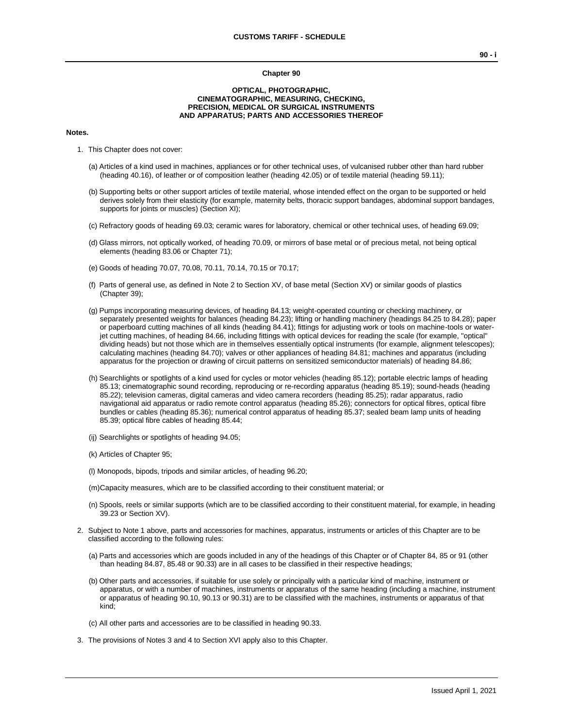#### **Chapter 90**

#### **OPTICAL, PHOTOGRAPHIC, CINEMATOGRAPHIC, MEASURING, CHECKING, PRECISION, MEDICAL OR SURGICAL INSTRUMENTS AND APPARATUS; PARTS AND ACCESSORIES THEREOF**

#### **Notes.**

- 1. This Chapter does not cover:
	- (a) Articles of a kind used in machines, appliances or for other technical uses, of vulcanised rubber other than hard rubber (heading 40.16), of leather or of composition leather (heading 42.05) or of textile material (heading 59.11);
	- (b) Supporting belts or other support articles of textile material, whose intended effect on the organ to be supported or held derives solely from their elasticity (for example, maternity belts, thoracic support bandages, abdominal support bandages, supports for joints or muscles) (Section XI);
	- (c) Refractory goods of heading 69.03; ceramic wares for laboratory, chemical or other technical uses, of heading 69.09;
	- (d) Glass mirrors, not optically worked, of heading 70.09, or mirrors of base metal or of precious metal, not being optical elements (heading 83.06 or Chapter 71);
	- (e) Goods of heading 70.07, 70.08, 70.11, 70.14, 70.15 or 70.17;
	- (f) Parts of general use, as defined in Note 2 to Section XV, of base metal (Section XV) or similar goods of plastics (Chapter 39);
	- (g) Pumps incorporating measuring devices, of heading 84.13; weight-operated counting or checking machinery, or separately presented weights for balances (heading 84.23); lifting or handling machinery (headings 84.25 to 84.28); paper or paperboard cutting machines of all kinds (heading 84.41); fittings for adjusting work or tools on machine-tools or waterjet cutting machines, of heading 84.66, including fittings with optical devices for reading the scale (for example, "optical" dividing heads) but not those which are in themselves essentially optical instruments (for example, alignment telescopes); calculating machines (heading 84.70); valves or other appliances of heading 84.81; machines and apparatus (including apparatus for the projection or drawing of circuit patterns on sensitized semiconductor materials) of heading 84.86;
	- (h) Searchlights or spotlights of a kind used for cycles or motor vehicles (heading 85.12); portable electric lamps of heading 85.13; cinematographic sound recording, reproducing or re-recording apparatus (heading 85.19); sound-heads (heading 85.22); television cameras, digital cameras and video camera recorders (heading 85.25); radar apparatus, radio navigational aid apparatus or radio remote control apparatus (heading 85.26); connectors for optical fibres, optical fibre bundles or cables (heading 85.36); numerical control apparatus of heading 85.37; sealed beam lamp units of heading 85.39; optical fibre cables of heading 85.44;
	- (ij) Searchlights or spotlights of heading 94.05;
	- (k) Articles of Chapter 95;
	- (l) Monopods, bipods, tripods and similar articles, of heading 96.20;
	- (m)Capacity measures, which are to be classified according to their constituent material; or
	- (n) Spools, reels or similar supports (which are to be classified according to their constituent material, for example, in heading 39.23 or Section XV).
- 2. Subject to Note 1 above, parts and accessories for machines, apparatus, instruments or articles of this Chapter are to be classified according to the following rules:
	- (a) Parts and accessories which are goods included in any of the headings of this Chapter or of Chapter 84, 85 or 91 (other than heading 84.87, 85.48 or 90.33) are in all cases to be classified in their respective headings;
	- (b) Other parts and accessories, if suitable for use solely or principally with a particular kind of machine, instrument or apparatus, or with a number of machines, instruments or apparatus of the same heading (including a machine, instrument or apparatus of heading 90.10, 90.13 or 90.31) are to be classified with the machines, instruments or apparatus of that kind;
	- (c) All other parts and accessories are to be classified in heading 90.33.
- 3. The provisions of Notes 3 and 4 to Section XVI apply also to this Chapter.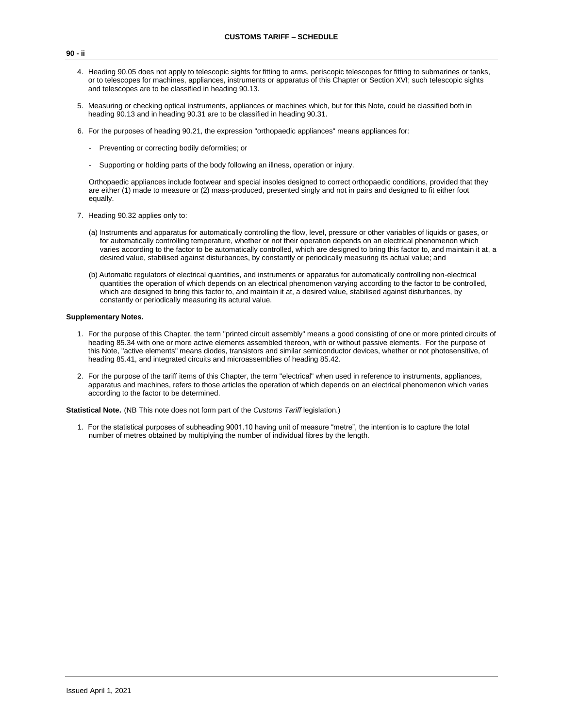- 4. Heading 90.05 does not apply to telescopic sights for fitting to arms, periscopic telescopes for fitting to submarines or tanks, or to telescopes for machines, appliances, instruments or apparatus of this Chapter or Section XVI; such telescopic sights and telescopes are to be classified in heading 90.13.
- 5. Measuring or checking optical instruments, appliances or machines which, but for this Note, could be classified both in heading 90.13 and in heading 90.31 are to be classified in heading 90.31.
- 6. For the purposes of heading 90.21, the expression "orthopaedic appliances" means appliances for:
	- Preventing or correcting bodily deformities; or
	- Supporting or holding parts of the body following an illness, operation or injury.

Orthopaedic appliances include footwear and special insoles designed to correct orthopaedic conditions, provided that they are either (1) made to measure or (2) mass-produced, presented singly and not in pairs and designed to fit either foot equally.

- 7. Heading 90.32 applies only to:
	- (a) Instruments and apparatus for automatically controlling the flow, level, pressure or other variables of liquids or gases, or for automatically controlling temperature, whether or not their operation depends on an electrical phenomenon which varies according to the factor to be automatically controlled, which are designed to bring this factor to, and maintain it at, a desired value, stabilised against disturbances, by constantly or periodically measuring its actual value; and
	- (b) Automatic regulators of electrical quantities, and instruments or apparatus for automatically controlling non-electrical quantities the operation of which depends on an electrical phenomenon varying according to the factor to be controlled, which are designed to bring this factor to, and maintain it at, a desired value, stabilised against disturbances, by constantly or periodically measuring its actural value.

#### **Supplementary Notes.**

- 1. For the purpose of this Chapter, the term "printed circuit assembly" means a good consisting of one or more printed circuits of heading 85.34 with one or more active elements assembled thereon, with or without passive elements. For the purpose of this Note, "active elements" means diodes, transistors and similar semiconductor devices, whether or not photosensitive, of heading 85.41, and integrated circuits and microassemblies of heading 85.42.
- 2. For the purpose of the tariff items of this Chapter, the term "electrical" when used in reference to instruments, appliances, apparatus and machines, refers to those articles the operation of which depends on an electrical phenomenon which varies according to the factor to be determined.

**Statistical Note.** (NB This note does not form part of the *Customs Tariff* legislation.)

1. For the statistical purposes of subheading 9001.10 having unit of measure "metre", the intention is to capture the total number of metres obtained by multiplying the number of individual fibres by the length.

#### **90 - ii**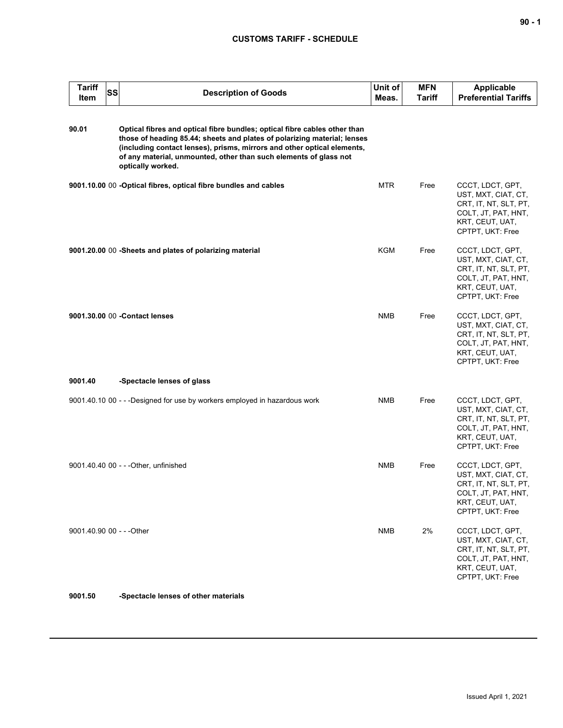| <b>Tariff</b><br>Item     | SS | <b>Description of Goods</b>                                                                                                                                                                                                                                                                                                | Unit of<br>Meas. | <b>MFN</b><br><b>Tariff</b> | <b>Applicable</b><br><b>Preferential Tariffs</b>                                                                               |
|---------------------------|----|----------------------------------------------------------------------------------------------------------------------------------------------------------------------------------------------------------------------------------------------------------------------------------------------------------------------------|------------------|-----------------------------|--------------------------------------------------------------------------------------------------------------------------------|
| 90.01                     |    | Optical fibres and optical fibre bundles; optical fibre cables other than<br>those of heading 85.44; sheets and plates of polarizing material; lenses<br>(including contact lenses), prisms, mirrors and other optical elements,<br>of any material, unmounted, other than such elements of glass not<br>optically worked. |                  |                             |                                                                                                                                |
|                           |    | 9001.10.00 00 -Optical fibres, optical fibre bundles and cables                                                                                                                                                                                                                                                            | <b>MTR</b>       | Free                        | CCCT, LDCT, GPT,<br>UST, MXT, CIAT, CT,<br>CRT, IT, NT, SLT, PT,<br>COLT, JT, PAT, HNT,<br>KRT, CEUT, UAT,<br>CPTPT, UKT: Free |
|                           |    | 9001.20.00 00 -Sheets and plates of polarizing material                                                                                                                                                                                                                                                                    | KGM              | Free                        | CCCT, LDCT, GPT,<br>UST, MXT, CIAT, CT,<br>CRT, IT, NT, SLT, PT,<br>COLT, JT, PAT, HNT,<br>KRT, CEUT, UAT,<br>CPTPT, UKT: Free |
|                           |    | 9001.30.00 00 - Contact lenses                                                                                                                                                                                                                                                                                             | <b>NMB</b>       | Free                        | CCCT, LDCT, GPT,<br>UST, MXT, CIAT, CT,<br>CRT, IT, NT, SLT, PT,<br>COLT, JT, PAT, HNT,<br>KRT, CEUT, UAT,<br>CPTPT, UKT: Free |
| 9001.40                   |    | -Spectacle lenses of glass                                                                                                                                                                                                                                                                                                 |                  |                             |                                                                                                                                |
|                           |    | 9001.40.10 00 - - - Designed for use by workers employed in hazardous work                                                                                                                                                                                                                                                 | <b>NMB</b>       | Free                        | CCCT, LDCT, GPT,<br>UST, MXT, CIAT, CT,<br>CRT, IT, NT, SLT, PT,<br>COLT, JT, PAT, HNT,<br>KRT, CEUT, UAT,<br>CPTPT, UKT: Free |
|                           |    | 9001.40.40 00 - - - Other, unfinished                                                                                                                                                                                                                                                                                      | <b>NMB</b>       | Free                        | CCCT, LDCT, GPT,<br>UST, MXT, CIAT, CT,<br>CRT, IT, NT, SLT, PT,<br>COLT, JT, PAT, HNT,<br>KRT, CEUT, UAT,<br>CPTPT, UKT: Free |
| 9001.40.90 00 - - - Other |    |                                                                                                                                                                                                                                                                                                                            | <b>NMB</b>       | 2%                          | CCCT, LDCT, GPT,<br>UST, MXT, CIAT, CT,<br>CRT, IT, NT, SLT, PT,<br>COLT, JT, PAT, HNT,<br>KRT, CEUT, UAT,<br>CPTPT, UKT: Free |

**9001.50 -Spectacle lenses of other materials**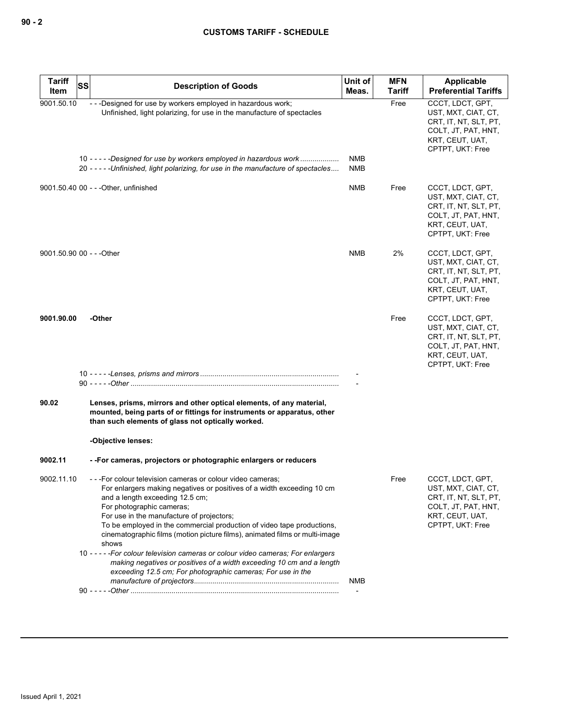| <b>Tariff</b><br>Item     | SS | <b>Description of Goods</b>                                                                                                                                                                                                                                                                                                                                                                                                                                                                                                                                                                                                                      | Unit of<br>Meas.  | <b>MFN</b><br>Tariff | Applicable<br><b>Preferential Tariffs</b>                                                                                      |
|---------------------------|----|--------------------------------------------------------------------------------------------------------------------------------------------------------------------------------------------------------------------------------------------------------------------------------------------------------------------------------------------------------------------------------------------------------------------------------------------------------------------------------------------------------------------------------------------------------------------------------------------------------------------------------------------------|-------------------|----------------------|--------------------------------------------------------------------------------------------------------------------------------|
| 9001.50.10                |    | ---Designed for use by workers employed in hazardous work;<br>Unfinished, light polarizing, for use in the manufacture of spectacles                                                                                                                                                                                                                                                                                                                                                                                                                                                                                                             |                   | Free                 | CCCT, LDCT, GPT,<br>UST, MXT, CIAT, CT,<br>CRT, IT, NT, SLT, PT,<br>COLT, JT, PAT, HNT,<br>KRT, CEUT, UAT,<br>CPTPT, UKT: Free |
|                           |    | 10 - - - - - Designed for use by workers employed in hazardous work<br>20 ----- Unfinished, light polarizing, for use in the manufacture of spectacles                                                                                                                                                                                                                                                                                                                                                                                                                                                                                           | NMB<br><b>NMB</b> |                      |                                                                                                                                |
|                           |    | 9001.50.40 00 - - - Other, unfinished                                                                                                                                                                                                                                                                                                                                                                                                                                                                                                                                                                                                            | <b>NMB</b>        | Free                 | CCCT, LDCT, GPT,<br>UST, MXT, CIAT, CT,<br>CRT, IT, NT, SLT, PT,<br>COLT, JT, PAT, HNT,<br>KRT, CEUT, UAT,<br>CPTPT, UKT: Free |
| 9001.50.90 00 - - - Other |    |                                                                                                                                                                                                                                                                                                                                                                                                                                                                                                                                                                                                                                                  | <b>NMB</b>        | 2%                   | CCCT, LDCT, GPT,<br>UST, MXT, CIAT, CT,<br>CRT, IT, NT, SLT, PT,<br>COLT, JT, PAT, HNT,<br>KRT, CEUT, UAT,<br>CPTPT, UKT: Free |
| 9001.90.00                |    | -Other                                                                                                                                                                                                                                                                                                                                                                                                                                                                                                                                                                                                                                           |                   | Free                 | CCCT, LDCT, GPT,<br>UST, MXT, CIAT, CT,<br>CRT, IT, NT, SLT, PT,<br>COLT, JT, PAT, HNT,<br>KRT, CEUT, UAT,<br>CPTPT, UKT: Free |
|                           |    |                                                                                                                                                                                                                                                                                                                                                                                                                                                                                                                                                                                                                                                  |                   |                      |                                                                                                                                |
| 90.02                     |    | Lenses, prisms, mirrors and other optical elements, of any material,<br>mounted, being parts of or fittings for instruments or apparatus, other<br>than such elements of glass not optically worked.<br>-Objective lenses:                                                                                                                                                                                                                                                                                                                                                                                                                       |                   |                      |                                                                                                                                |
| 9002.11                   |    | --For cameras, projectors or photographic enlargers or reducers                                                                                                                                                                                                                                                                                                                                                                                                                                                                                                                                                                                  |                   |                      |                                                                                                                                |
| 9002.11.10                |    | --- For colour television cameras or colour video cameras:<br>For enlargers making negatives or positives of a width exceeding 10 cm<br>and a length exceeding 12.5 cm;<br>For photographic cameras;<br>For use in the manufacture of projectors;<br>To be employed in the commercial production of video tape productions,<br>cinematographic films (motion picture films), animated films or multi-image<br>shows<br>10 - - - - - For colour television cameras or colour video cameras; For enlargers<br>making negatives or positives of a width exceeding 10 cm and a length<br>exceeding 12.5 cm; For photographic cameras; For use in the |                   | Free                 | CCCT, LDCT, GPT,<br>UST, MXT, CIAT, CT,<br>CRT, IT, NT, SLT, PT,<br>COLT, JT, PAT, HNT,<br>KRT, CEUT, UAT,<br>CPTPT, UKT: Free |
|                           |    |                                                                                                                                                                                                                                                                                                                                                                                                                                                                                                                                                                                                                                                  | NMB               |                      |                                                                                                                                |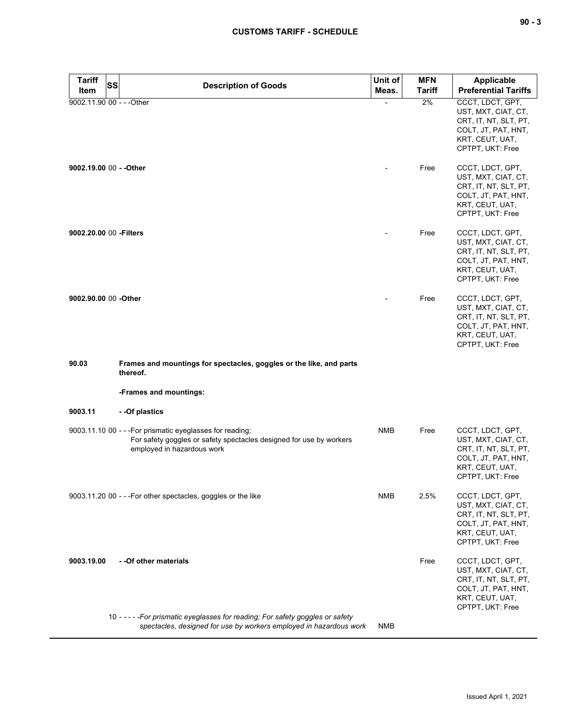| $\sim$<br>$\sim$ |  | v |
|------------------|--|---|
|------------------|--|---|

| Tariff<br>Item            | <b>SS</b> | <b>Description of Goods</b>                                                                                                                                    | Unit of<br>Meas. | <b>MFN</b><br><b>Tariff</b> | Applicable<br><b>Preferential Tariffs</b>                                                                                      |
|---------------------------|-----------|----------------------------------------------------------------------------------------------------------------------------------------------------------------|------------------|-----------------------------|--------------------------------------------------------------------------------------------------------------------------------|
| 9002.11.90 00 - - - Other |           |                                                                                                                                                                |                  | 2%                          | CCCT, LDCT, GPT,<br>UST, MXT, CIAT, CT,<br>CRT, IT, NT, SLT, PT,<br>COLT, JT, PAT, HNT,<br>KRT, CEUT, UAT,<br>CPTPT, UKT: Free |
| 9002.19.00 00 - - Other   |           |                                                                                                                                                                |                  | Free                        | CCCT, LDCT, GPT,<br>UST, MXT, CIAT, CT,<br>CRT, IT, NT, SLT, PT,<br>COLT, JT, PAT, HNT,<br>KRT, CEUT, UAT,<br>CPTPT, UKT: Free |
| 9002.20.00 00 - Filters   |           |                                                                                                                                                                |                  | Free                        | CCCT, LDCT, GPT,<br>UST, MXT, CIAT, CT,<br>CRT, IT, NT, SLT, PT,<br>COLT, JT, PAT, HNT,<br>KRT, CEUT, UAT,<br>CPTPT, UKT: Free |
| 9002.90.00 00 -Other      |           |                                                                                                                                                                |                  | Free                        | CCCT, LDCT, GPT,<br>UST, MXT, CIAT, CT,<br>CRT, IT, NT, SLT, PT,<br>COLT, JT, PAT, HNT,<br>KRT, CEUT, UAT,<br>CPTPT, UKT: Free |
| 90.03                     |           | Frames and mountings for spectacles, goggles or the like, and parts<br>thereof.                                                                                |                  |                             |                                                                                                                                |
|                           |           | -Frames and mountings:                                                                                                                                         |                  |                             |                                                                                                                                |
| 9003.11                   |           | - - Of plastics                                                                                                                                                |                  |                             |                                                                                                                                |
|                           |           | 9003.11.10 00 - - - For prismatic eyeglasses for reading;<br>For safety goggles or safety spectacles designed for use by workers<br>employed in hazardous work | <b>NMB</b>       | Free                        | CCCT, LDCT, GPT,<br>UST, MXT, CIAT, CT,<br>CRT, IT, NT, SLT, PT,<br>COLT, JT, PAT, HNT,<br>KRT, CEUT, UAT,<br>CPTPT, UKT: Free |
|                           |           | 9003.11.20 00 - - - For other spectacles, goggles or the like                                                                                                  | <b>NMB</b>       | 2.5%                        | CCCT, LDCT, GPT,<br>UST, MXT, CIAT, CT,<br>CRT, IT, NT, SLT, PT,<br>COLT, JT, PAT, HNT,<br>KRT, CEUT, UAT,<br>CPTPT, UKT: Free |
| 9003.19.00                |           | - - Of other materials                                                                                                                                         |                  | Free                        | CCCT, LDCT, GPT,<br>UST, MXT, CIAT, CT,<br>CRT, IT, NT, SLT, PT,<br>COLT, JT, PAT, HNT,<br>KRT, CEUT, UAT,<br>CPTPT, UKT: Free |
|                           |           | 10 - - - - - For prismatic eyeglasses for reading; For safety goggles or safety<br>spectacles, designed for use by workers employed in hazardous work          | NMB              |                             |                                                                                                                                |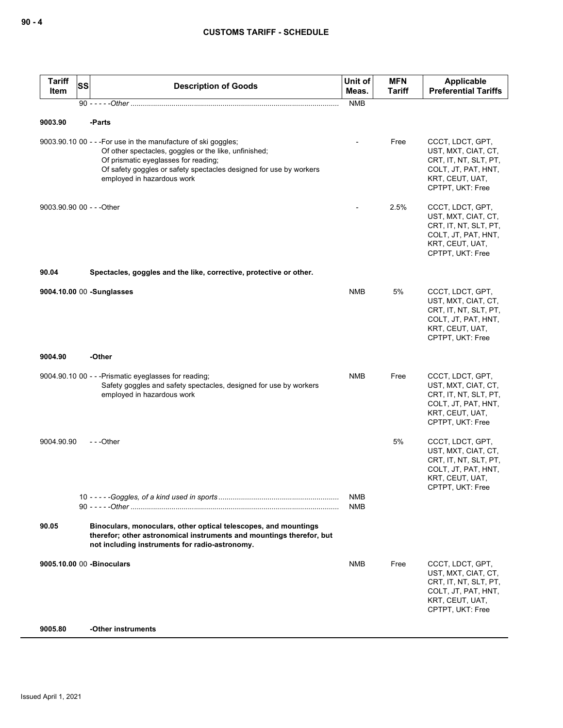| <b>Tariff</b><br>Item     | SS | <b>Description of Goods</b>                                                                                                                                                                                                                                         | Unit of<br>Meas.         | <b>MFN</b><br><b>Tariff</b> | Applicable<br><b>Preferential Tariffs</b>                                                                                      |
|---------------------------|----|---------------------------------------------------------------------------------------------------------------------------------------------------------------------------------------------------------------------------------------------------------------------|--------------------------|-----------------------------|--------------------------------------------------------------------------------------------------------------------------------|
|                           |    |                                                                                                                                                                                                                                                                     | <b>NMB</b>               |                             |                                                                                                                                |
| 9003.90                   |    | -Parts                                                                                                                                                                                                                                                              |                          |                             |                                                                                                                                |
|                           |    | 9003.90.10 00 - - - For use in the manufacture of ski goggles;<br>Of other spectacles, goggles or the like, unfinished;<br>Of prismatic eyeglasses for reading;<br>Of safety goggles or safety spectacles designed for use by workers<br>employed in hazardous work |                          | Free                        | CCCT, LDCT, GPT,<br>UST, MXT, CIAT, CT,<br>CRT, IT, NT, SLT, PT,<br>COLT, JT, PAT, HNT,<br>KRT, CEUT, UAT,<br>CPTPT, UKT: Free |
| 9003.90.90 00 - - - Other |    |                                                                                                                                                                                                                                                                     |                          | 2.5%                        | CCCT, LDCT, GPT,<br>UST, MXT, CIAT, CT,<br>CRT, IT, NT, SLT, PT,<br>COLT, JT, PAT, HNT,<br>KRT, CEUT, UAT,<br>CPTPT, UKT: Free |
| 90.04                     |    | Spectacles, goggles and the like, corrective, protective or other.                                                                                                                                                                                                  |                          |                             |                                                                                                                                |
|                           |    | 9004.10.00 00 -Sunglasses                                                                                                                                                                                                                                           | <b>NMB</b>               | 5%                          | CCCT, LDCT, GPT,<br>UST, MXT, CIAT, CT,<br>CRT, IT, NT, SLT, PT,<br>COLT, JT, PAT, HNT,<br>KRT, CEUT, UAT,<br>CPTPT, UKT: Free |
| 9004.90                   |    | -Other                                                                                                                                                                                                                                                              |                          |                             |                                                                                                                                |
|                           |    | 9004.90.10 00 - - - Prismatic eyeglasses for reading;<br>Safety goggles and safety spectacles, designed for use by workers<br>employed in hazardous work                                                                                                            | <b>NMB</b>               | Free                        | CCCT, LDCT, GPT,<br>UST, MXT, CIAT, CT,<br>CRT, IT, NT, SLT, PT,<br>COLT, JT, PAT, HNT,<br>KRT, CEUT, UAT,<br>CPTPT, UKT: Free |
| 9004.90.90                |    | ---Other                                                                                                                                                                                                                                                            |                          | 5%                          | CCCT, LDCT, GPT,<br>UST, MXT, CIAT, CT,<br>CRT, IT, NT, SLT, PT,<br>COLT, JT, PAT, HNT,<br>KRT, CEUT, UAT,<br>CPTPT, UKT: Free |
|                           |    |                                                                                                                                                                                                                                                                     | <b>NMB</b><br><b>NMB</b> |                             |                                                                                                                                |
| 90.05                     |    | Binoculars, monoculars, other optical telescopes, and mountings<br>therefor; other astronomical instruments and mountings therefor, but<br>not including instruments for radio-astronomy.                                                                           |                          |                             |                                                                                                                                |
|                           |    | 9005.10.00 00 - Binoculars                                                                                                                                                                                                                                          | NMB                      | Free                        | CCCT, LDCT, GPT,<br>UST, MXT, CIAT, CT,<br>CRT, IT, NT, SLT, PT,<br>COLT, JT, PAT, HNT,<br>KRT, CEUT, UAT,<br>CPTPT, UKT: Free |
| 9005.80                   |    | -Other instruments                                                                                                                                                                                                                                                  |                          |                             |                                                                                                                                |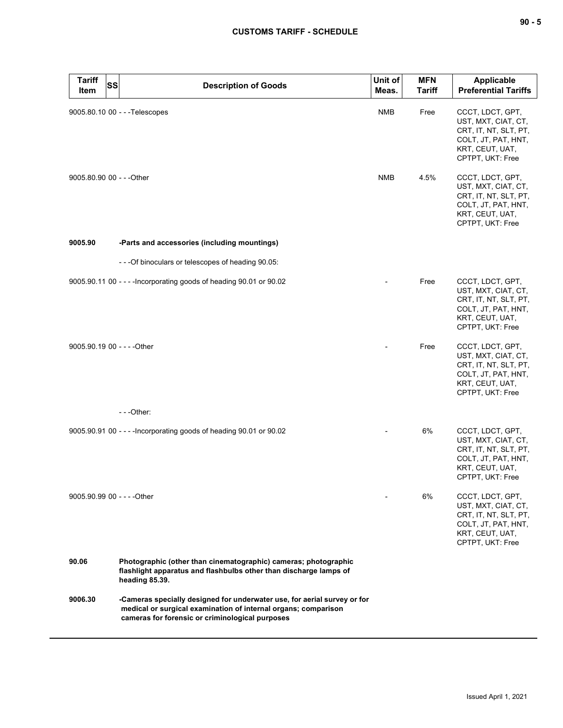| <b>Tariff</b><br><b>SS</b><br>Item | <b>Description of Goods</b>                                                                                                                                                                   | Unit of<br>Meas. | <b>MFN</b><br>Tariff | <b>Applicable</b><br><b>Preferential Tariffs</b>                                                                               |
|------------------------------------|-----------------------------------------------------------------------------------------------------------------------------------------------------------------------------------------------|------------------|----------------------|--------------------------------------------------------------------------------------------------------------------------------|
|                                    | 9005.80.10 00 - - - Telescopes                                                                                                                                                                | <b>NMB</b>       | Free                 | CCCT, LDCT, GPT,<br>UST, MXT, CIAT, CT,<br>CRT, IT, NT, SLT, PT,<br>COLT, JT, PAT, HNT,<br>KRT, CEUT, UAT,<br>CPTPT, UKT: Free |
| 9005.80.90 00 - - - Other          |                                                                                                                                                                                               | <b>NMB</b>       | 4.5%                 | CCCT, LDCT, GPT,<br>UST, MXT, CIAT, CT,<br>CRT, IT, NT, SLT, PT,<br>COLT, JT, PAT, HNT,<br>KRT, CEUT, UAT,<br>CPTPT, UKT: Free |
| 9005.90                            | -Parts and accessories (including mountings)                                                                                                                                                  |                  |                      |                                                                                                                                |
|                                    | ---Of binoculars or telescopes of heading 90.05:                                                                                                                                              |                  |                      |                                                                                                                                |
|                                    | 9005.90.11 00 - - - - Incorporating goods of heading 90.01 or 90.02                                                                                                                           |                  | Free                 | CCCT, LDCT, GPT,<br>UST, MXT, CIAT, CT,<br>CRT, IT, NT, SLT, PT,<br>COLT, JT, PAT, HNT,<br>KRT, CEUT, UAT,<br>CPTPT, UKT: Free |
| 9005.90.19 00 - - - - Other        |                                                                                                                                                                                               |                  | Free                 | CCCT, LDCT, GPT,<br>UST, MXT, CIAT, CT,<br>CRT, IT, NT, SLT, PT,<br>COLT, JT, PAT, HNT,<br>KRT, CEUT, UAT,<br>CPTPT, UKT: Free |
|                                    | $- -$ Other:                                                                                                                                                                                  |                  |                      |                                                                                                                                |
|                                    | 9005.90.91 00 - - - - Incorporating goods of heading 90.01 or 90.02                                                                                                                           |                  | 6%                   | CCCT, LDCT, GPT,<br>UST, MXT, CIAT, CT,<br>CRT, IT, NT, SLT, PT,<br>COLT, JT, PAT, HNT,<br>KRT, CEUT, UAT,<br>CPTPT, UKT: Free |
| 9005.90.99 00 - - - - Other        |                                                                                                                                                                                               |                  | 6%                   | CCCT, LDCT, GPT,<br>UST, MXT, CIAT, CT,<br>CRT, IT, NT, SLT, PT,<br>COLT, JT, PAT, HNT,<br>KRT, CEUT, UAT,<br>CPTPT, UKT: Free |
| 90.06                              | Photographic (other than cinematographic) cameras; photographic<br>flashlight apparatus and flashbulbs other than discharge lamps of<br>heading 85.39.                                        |                  |                      |                                                                                                                                |
| 9006.30                            | -Cameras specially designed for underwater use, for aerial survey or for<br>medical or surgical examination of internal organs; comparison<br>cameras for forensic or criminological purposes |                  |                      |                                                                                                                                |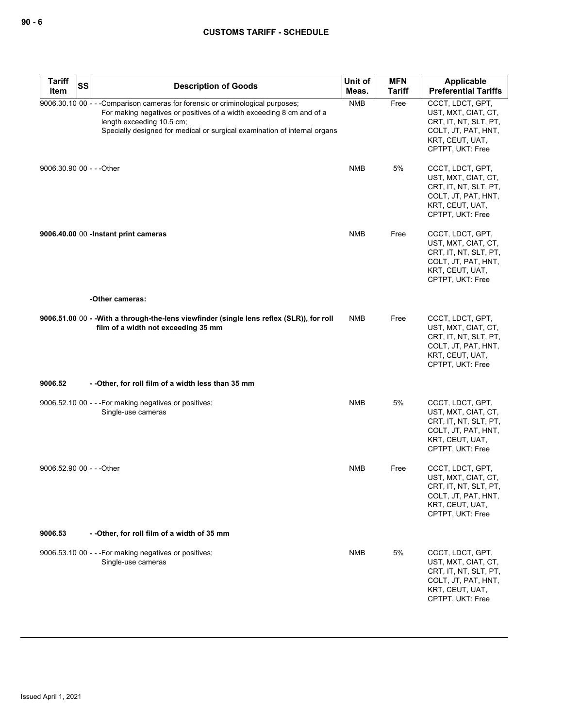| <b>Tariff</b><br>Item     | <b>SS</b> | <b>Description of Goods</b>                                                                                                                                                                                                                                       | Unit of<br>Meas. | <b>MFN</b><br><b>Tariff</b> | Applicable<br><b>Preferential Tariffs</b>                                                                                      |
|---------------------------|-----------|-------------------------------------------------------------------------------------------------------------------------------------------------------------------------------------------------------------------------------------------------------------------|------------------|-----------------------------|--------------------------------------------------------------------------------------------------------------------------------|
|                           |           | 9006.30.10 00 - - - Comparison cameras for forensic or criminological purposes;<br>For making negatives or positives of a width exceeding 8 cm and of a<br>length exceeding 10.5 cm;<br>Specially designed for medical or surgical examination of internal organs | <b>NMB</b>       | Free                        | CCCT, LDCT, GPT,<br>UST, MXT, CIAT, CT,<br>CRT, IT, NT, SLT, PT,<br>COLT, JT, PAT, HNT,<br>KRT, CEUT, UAT,<br>CPTPT, UKT: Free |
| 9006.30.90 00 - - - Other |           |                                                                                                                                                                                                                                                                   | NMB              | 5%                          | CCCT, LDCT, GPT,<br>UST, MXT, CIAT, CT,<br>CRT, IT, NT, SLT, PT,<br>COLT, JT, PAT, HNT,<br>KRT, CEUT, UAT,<br>CPTPT, UKT: Free |
|                           |           | 9006.40.00 00 -Instant print cameras                                                                                                                                                                                                                              | <b>NMB</b>       | Free                        | CCCT, LDCT, GPT,<br>UST, MXT, CIAT, CT,<br>CRT, IT, NT, SLT, PT,<br>COLT, JT, PAT, HNT,<br>KRT, CEUT, UAT,<br>CPTPT, UKT: Free |
|                           |           | -Other cameras:                                                                                                                                                                                                                                                   |                  |                             |                                                                                                                                |
|                           |           | 9006.51.00 00 - -With a through-the-lens viewfinder (single lens reflex (SLR)), for roll<br>film of a width not exceeding 35 mm                                                                                                                                   | <b>NMB</b>       | Free                        | CCCT, LDCT, GPT,<br>UST, MXT, CIAT, CT,<br>CRT, IT, NT, SLT, PT,<br>COLT, JT, PAT, HNT,<br>KRT, CEUT, UAT,<br>CPTPT, UKT: Free |
| 9006.52                   |           | --Other, for roll film of a width less than 35 mm                                                                                                                                                                                                                 |                  |                             |                                                                                                                                |
|                           |           | 9006.52.10 00 - - - For making negatives or positives;<br>Single-use cameras                                                                                                                                                                                      | <b>NMB</b>       | 5%                          | CCCT, LDCT, GPT,<br>UST, MXT, CIAT, CT,<br>CRT, IT, NT, SLT, PT,<br>COLT, JT, PAT, HNT,<br>KRT, CEUT, UAT,<br>CPTPT, UKT: Free |
| 9006.52.90 00 - - - Other |           |                                                                                                                                                                                                                                                                   | <b>NMB</b>       | Free                        | CCCT, LDCT, GPT,<br>UST, MXT, CIAT, CT,<br>CHI, II, NI, SLI, PI,<br>COLT, JT, PAT, HNT,<br>KRT, CEUT, UAT,<br>CPTPT, UKT: Free |
| 9006.53                   |           | -- Other, for roll film of a width of 35 mm                                                                                                                                                                                                                       |                  |                             |                                                                                                                                |
|                           |           | 9006.53.10 00 - - - For making negatives or positives;<br>Single-use cameras                                                                                                                                                                                      | <b>NMB</b>       | 5%                          | CCCT, LDCT, GPT,<br>UST, MXT, CIAT, CT,<br>CRT, IT, NT, SLT, PT,<br>COLT, JT, PAT, HNT,<br>KRT, CEUT, UAT,<br>CPTPT, UKT: Free |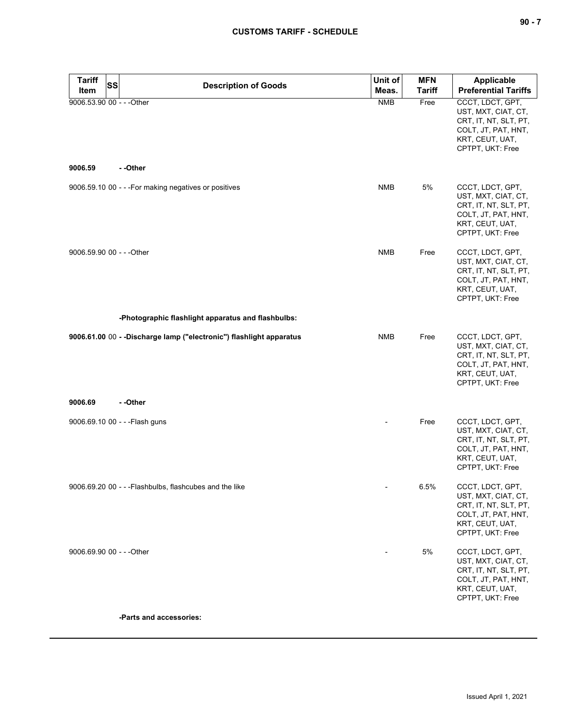| <b>Tariff</b><br><b>SS</b>           |                                                                      | Unit of    | <b>MFN</b>    | Applicable                                                                                                                     |
|--------------------------------------|----------------------------------------------------------------------|------------|---------------|--------------------------------------------------------------------------------------------------------------------------------|
| Item                                 | <b>Description of Goods</b>                                          | Meas.      | <b>Tariff</b> | <b>Preferential Tariffs</b>                                                                                                    |
| 9006.53.90 00 - - - Other<br>9006.59 | --Other                                                              | <b>NMB</b> | Free          | CCCT, LDCT, GPT,<br>UST, MXT, CIAT, CT,<br>CRT, IT, NT, SLT, PT,<br>COLT, JT, PAT, HNT,<br>KRT, CEUT, UAT,<br>CPTPT, UKT: Free |
|                                      |                                                                      |            |               |                                                                                                                                |
|                                      | 9006.59.10 00 - - - For making negatives or positives                | <b>NMB</b> | 5%            | CCCT, LDCT, GPT,<br>UST, MXT, CIAT, CT,<br>CRT, IT, NT, SLT, PT,<br>COLT, JT, PAT, HNT,<br>KRT, CEUT, UAT,<br>CPTPT, UKT: Free |
| 9006.59.90 00 - - - Other            |                                                                      | <b>NMB</b> | Free          | CCCT, LDCT, GPT,<br>UST, MXT, CIAT, CT,<br>CRT, IT, NT, SLT, PT,<br>COLT, JT, PAT, HNT,<br>KRT, CEUT, UAT,<br>CPTPT, UKT: Free |
|                                      | -Photographic flashlight apparatus and flashbulbs:                   |            |               |                                                                                                                                |
|                                      | 9006.61.00 00 - - Discharge lamp ("electronic") flashlight apparatus | <b>NMB</b> | Free          | CCCT, LDCT, GPT,<br>UST, MXT, CIAT, CT,<br>CRT, IT, NT, SLT, PT,<br>COLT, JT, PAT, HNT,<br>KRT, CEUT, UAT,<br>CPTPT, UKT: Free |
| 9006.69                              | --Other                                                              |            |               |                                                                                                                                |
|                                      | 9006.69.10 00 - - - Flash guns                                       |            | Free          | CCCT, LDCT, GPT,<br>UST, MXT, CIAT, CT,<br>CRT, IT, NT, SLT, PT,<br>COLT, JT, PAT, HNT,<br>KRT, CEUT, UAT,<br>CPTPT, UKT: Free |
|                                      | 9006.69.20 00 - - - Flashbulbs, flashcubes and the like              |            | 6.5%          | CCCT, LDCT, GPT,<br>UST, MXT, CIAT, CT,<br>CRT, IT, NT, SLT, PT,<br>COLT, JT, PAT, HNT,<br>KRT, CEUT, UAT,<br>CPTPT, UKT: Free |
| 9006.69.90 00 - - - Other            |                                                                      |            | 5%            | CCCT, LDCT, GPT,<br>UST, MXT, CIAT, CT,<br>CRT, IT, NT, SLT, PT,<br>COLT, JT, PAT, HNT,<br>KRT, CEUT, UAT,<br>CPTPT, UKT: Free |
|                                      | -Parts and accessories:                                              |            |               |                                                                                                                                |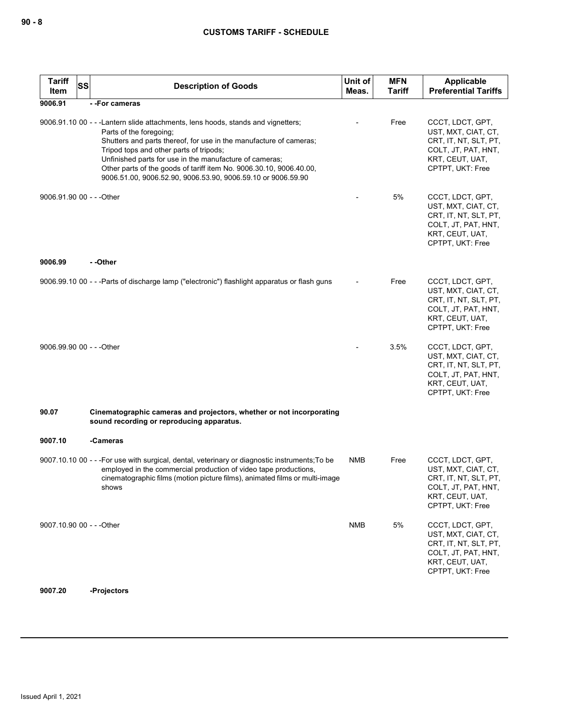| <b>Tariff</b><br><b>SS</b><br>Item | <b>Description of Goods</b>                                                                                                                                                                                                                                                                                                                                                                                                     | Unit of<br>Meas. | <b>MFN</b><br>Tariff | <b>Applicable</b><br><b>Preferential Tariffs</b>                                                                               |
|------------------------------------|---------------------------------------------------------------------------------------------------------------------------------------------------------------------------------------------------------------------------------------------------------------------------------------------------------------------------------------------------------------------------------------------------------------------------------|------------------|----------------------|--------------------------------------------------------------------------------------------------------------------------------|
| 9006.91                            | --For cameras                                                                                                                                                                                                                                                                                                                                                                                                                   |                  |                      |                                                                                                                                |
|                                    | 9006.91.10 00 - - - Lantern slide attachments, lens hoods, stands and vignetters;<br>Parts of the foregoing;<br>Shutters and parts thereof, for use in the manufacture of cameras;<br>Tripod tops and other parts of tripods;<br>Unfinished parts for use in the manufacture of cameras;<br>Other parts of the goods of tariff item No. 9006.30.10, 9006.40.00,<br>9006.51.00, 9006.52.90, 9006.53.90, 9006.59.10 or 9006.59.90 |                  | Free                 | CCCT, LDCT, GPT,<br>UST, MXT, CIAT, CT,<br>CRT, IT, NT, SLT, PT,<br>COLT, JT, PAT, HNT,<br>KRT, CEUT, UAT,<br>CPTPT, UKT: Free |
| 9006.91.90 00 - - - Other          |                                                                                                                                                                                                                                                                                                                                                                                                                                 |                  | 5%                   | CCCT, LDCT, GPT,<br>UST, MXT, CIAT, CT,<br>CRT, IT, NT, SLT, PT,<br>COLT, JT, PAT, HNT,<br>KRT, CEUT, UAT,<br>CPTPT, UKT: Free |
| 9006.99                            | - -Other                                                                                                                                                                                                                                                                                                                                                                                                                        |                  |                      |                                                                                                                                |
|                                    | 9006.99.10 00 - - -Parts of discharge lamp ("electronic") flashlight apparatus or flash guns                                                                                                                                                                                                                                                                                                                                    |                  | Free                 | CCCT, LDCT, GPT,<br>UST, MXT, CIAT, CT,<br>CRT, IT, NT, SLT, PT,<br>COLT, JT, PAT, HNT,<br>KRT, CEUT, UAT,<br>CPTPT, UKT: Free |
| 9006.99.90 00 - - - Other          |                                                                                                                                                                                                                                                                                                                                                                                                                                 |                  | 3.5%                 | CCCT, LDCT, GPT,<br>UST, MXT, CIAT, CT,<br>CRT, IT, NT, SLT, PT,<br>COLT, JT, PAT, HNT,<br>KRT, CEUT, UAT,<br>CPTPT, UKT: Free |
| 90.07                              | Cinematographic cameras and projectors, whether or not incorporating<br>sound recording or reproducing apparatus.                                                                                                                                                                                                                                                                                                               |                  |                      |                                                                                                                                |
| 9007.10                            | -Cameras                                                                                                                                                                                                                                                                                                                                                                                                                        |                  |                      |                                                                                                                                |
|                                    | 9007.10.10 00 - - - For use with surgical, dental, veterinary or diagnostic instruments; To be<br>employed in the commercial production of video tape productions,<br>cinematographic films (motion picture films), animated films or multi-image<br>shows                                                                                                                                                                      | NMB              | Free                 | CCCT, LDCT, GPT,<br>UST, MXT, CIAT, CT,<br>CRT, IT, NT, SLT, PT,<br>COLT, JT, PAT, HNT,<br>KRT, CEUT, UAT,<br>CPTPT, UKT: Free |
| 9007.10.90 00 - - - Other          |                                                                                                                                                                                                                                                                                                                                                                                                                                 | NMB              | 5%                   | CCCT, LDCT, GPT,<br>UST, MXT, CIAT, CT,<br>CRT, IT, NT, SLT, PT,<br>COLT, JT, PAT, HNT,<br>KRT, CEUT, UAT,<br>CPTPT, UKT: Free |

## **9007.20 -Projectors**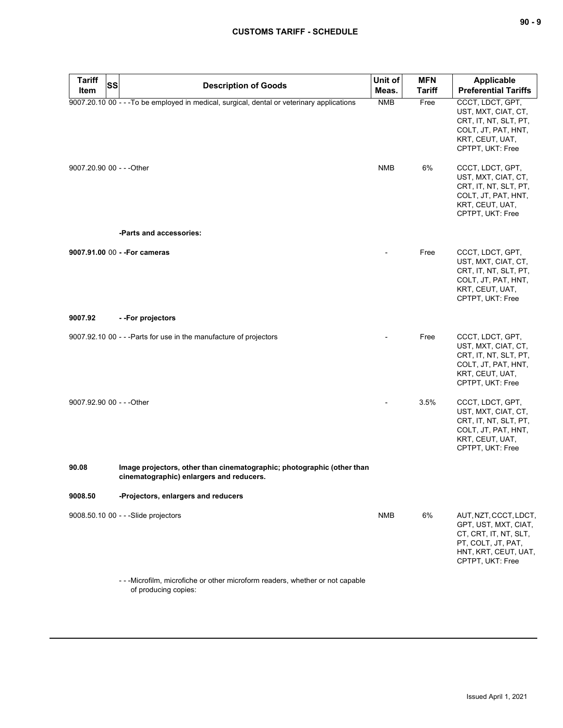| <b>Tariff</b><br><b>SS</b><br>Item | <b>Description of Goods</b>                                                                                        | Unit of<br>Meas. | <b>MFN</b><br><b>Tariff</b> | <b>Applicable</b><br><b>Preferential Tariffs</b>                                                                                         |
|------------------------------------|--------------------------------------------------------------------------------------------------------------------|------------------|-----------------------------|------------------------------------------------------------------------------------------------------------------------------------------|
|                                    | 9007.20.10 00 - - - To be employed in medical, surgical, dental or veterinary applications                         | <b>NMB</b>       | Free                        | CCCT, LDCT, GPT,<br>UST, MXT, CIAT, CT,<br>CRT, IT, NT, SLT, PT,<br>COLT, JT, PAT, HNT,<br>KRT, CEUT, UAT,<br>CPTPT, UKT: Free           |
| 9007.20.90 00 - - - Other          |                                                                                                                    | <b>NMB</b>       | 6%                          | CCCT, LDCT, GPT,<br>UST, MXT, CIAT, CT,<br>CRT, IT, NT, SLT, PT,<br>COLT, JT, PAT, HNT,<br>KRT, CEUT, UAT,<br>CPTPT, UKT: Free           |
|                                    | -Parts and accessories:                                                                                            |                  |                             |                                                                                                                                          |
|                                    | 9007.91.00 00 - - For cameras                                                                                      |                  | Free                        | CCCT, LDCT, GPT,<br>UST, MXT, CIAT, CT,<br>CRT, IT, NT, SLT, PT,<br>COLT, JT, PAT, HNT,<br>KRT, CEUT, UAT,<br>CPTPT, UKT: Free           |
| 9007.92                            | --For projectors                                                                                                   |                  |                             |                                                                                                                                          |
|                                    | 9007.92.10 00 - - - Parts for use in the manufacture of projectors                                                 |                  | Free                        | CCCT, LDCT, GPT,<br>UST, MXT, CIAT, CT,<br>CRT, IT, NT, SLT, PT,<br>COLT, JT, PAT, HNT,<br>KRT, CEUT, UAT,<br>CPTPT, UKT: Free           |
| 9007.92.90 00 - - - Other          |                                                                                                                    |                  | 3.5%                        | CCCT, LDCT, GPT,<br>UST, MXT, CIAT, CT,<br>CRT, IT, NT, SLT, PT,<br>COLT, JT, PAT, HNT,<br>KRT, CEUT, UAT,<br>CPTPT, UKT: Free           |
| 90.08                              | Image projectors, other than cinematographic; photographic (other than<br>cinematographic) enlargers and reducers. |                  |                             |                                                                                                                                          |
| 9008.50                            | -Projectors, enlargers and reducers                                                                                |                  |                             |                                                                                                                                          |
|                                    | 9008.50.10 00 - - - Slide projectors                                                                               | <b>NMB</b>       | 6%                          | AUT, NZT, CCCT, LDCT,<br>GPT, UST, MXT, CIAT,<br>CT, CRT, IT, NT, SLT,<br>PT, COLT, JT, PAT,<br>HNT, KRT, CEUT, UAT,<br>CPTPT, UKT: Free |
|                                    | -- Microfilm, microfiche or other microform readers, whether or not capable<br>of producing copies:                |                  |                             |                                                                                                                                          |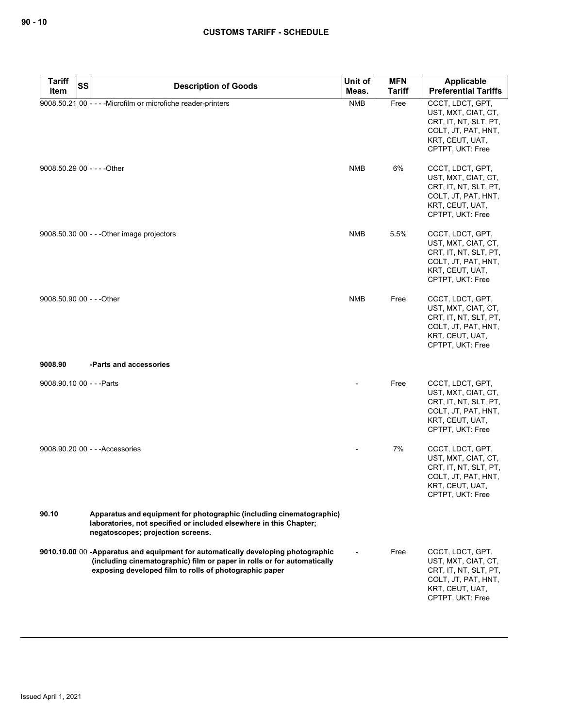| <b>Tariff</b><br><b>SS</b>  | <b>Description of Goods</b>                                                                                                                                                                                           | Unit of                  | <b>MFN</b>    | Applicable                                                                                                                     |
|-----------------------------|-----------------------------------------------------------------------------------------------------------------------------------------------------------------------------------------------------------------------|--------------------------|---------------|--------------------------------------------------------------------------------------------------------------------------------|
| Item                        |                                                                                                                                                                                                                       | Meas.                    | <b>Tariff</b> | <b>Preferential Tariffs</b>                                                                                                    |
|                             | 9008.50.21 00 - - - - Microfilm or microfiche reader-printers                                                                                                                                                         | <b>NMB</b>               | Free          | CCCT, LDCT, GPT,<br>UST, MXT, CIAT, CT,<br>CRT, IT, NT, SLT, PT,<br>COLT, JT, PAT, HNT,<br>KRT, CEUT, UAT,<br>CPTPT, UKT: Free |
| 9008.50.29 00 - - - - Other |                                                                                                                                                                                                                       | <b>NMB</b>               | 6%            | CCCT, LDCT, GPT,<br>UST, MXT, CIAT, CT,<br>CRT, IT, NT, SLT, PT,<br>COLT, JT, PAT, HNT,<br>KRT, CEUT, UAT,<br>CPTPT, UKT: Free |
|                             | $9008.50.300$ - - -Other image projectors                                                                                                                                                                             | <b>NMB</b>               | 5.5%          | CCCT, LDCT, GPT,<br>UST, MXT, CIAT, CT,<br>CRT, IT, NT, SLT, PT,<br>COLT, JT, PAT, HNT,<br>KRT, CEUT, UAT,<br>CPTPT, UKT: Free |
| 9008.50.90 00 - - - Other   |                                                                                                                                                                                                                       | <b>NMB</b>               | Free          | CCCT, LDCT, GPT,<br>UST, MXT, CIAT, CT,<br>CRT, IT, NT, SLT, PT,<br>COLT, JT, PAT, HNT,<br>KRT, CEUT, UAT,<br>CPTPT, UKT: Free |
| 9008.90                     | -Parts and accessories                                                                                                                                                                                                |                          |               |                                                                                                                                |
| 9008.90.10 00 - - - Parts   |                                                                                                                                                                                                                       |                          | Free          | CCCT, LDCT, GPT,<br>UST, MXT, CIAT, CT,<br>CRT, IT, NT, SLT, PT,<br>COLT, JT, PAT, HNT,<br>KRT, CEUT, UAT,<br>CPTPT, UKT: Free |
|                             | 9008.90.20 00 - - - Accessories                                                                                                                                                                                       |                          | 7%            | CCCT, LDCT, GPT,<br>UST, MXT, CIAT, CT,<br>CRT, IT, NT, SLT, PT,<br>COLT, JT, PAT, HNT,<br>KRT, CEUT, UAT,<br>CPTPT, UKT: Free |
| 90.10                       | Apparatus and equipment for photographic (including cinematographic)<br>laboratories, not specified or included elsewhere in this Chapter;<br>negatoscopes; projection screens.                                       |                          |               |                                                                                                                                |
|                             | 9010.10.00 00 -Apparatus and equipment for automatically developing photographic<br>(including cinematographic) film or paper in rolls or for automatically<br>exposing developed film to rolls of photographic paper | $\overline{\phantom{a}}$ | Free          | CCCT, LDCT, GPT,<br>UST, MXT, CIAT, CT,<br>CRT, IT, NT, SLT, PT,<br>COLT, JT, PAT, HNT,<br>KRT, CEUT, UAT,<br>CPTPT, UKT: Free |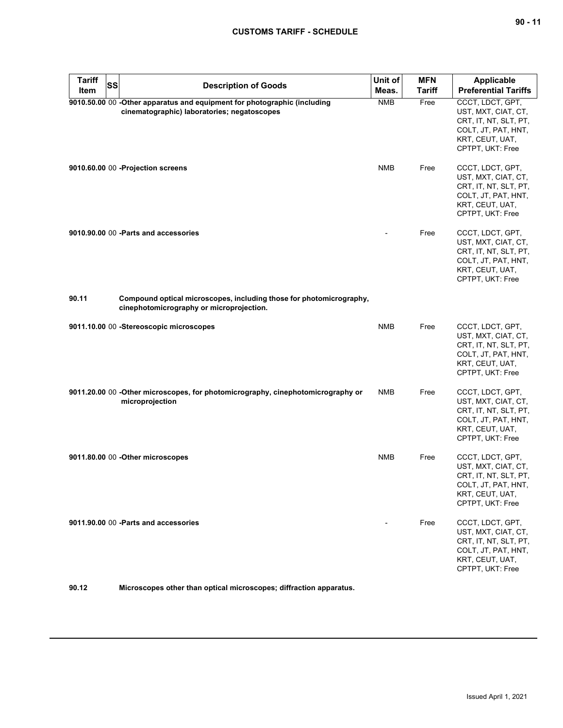| <b>Tariff</b><br>Item | <b>SS</b><br><b>Description of Goods</b>                                                                                | Unit of<br>Meas. | <b>MFN</b><br><b>Tariff</b> | <b>Applicable</b><br><b>Preferential Tariffs</b>                                                                               |
|-----------------------|-------------------------------------------------------------------------------------------------------------------------|------------------|-----------------------------|--------------------------------------------------------------------------------------------------------------------------------|
|                       | 9010.50.00 00 -Other apparatus and equipment for photographic (including<br>cinematographic) laboratories; negatoscopes | <b>NMB</b>       | Free                        | CCCT, LDCT, GPT,<br>UST, MXT, CIAT, CT,<br>CRT, IT, NT, SLT, PT,<br>COLT, JT, PAT, HNT,<br>KRT, CEUT, UAT,<br>CPTPT, UKT: Free |
|                       | 9010.60.00 00 -Projection screens                                                                                       | <b>NMB</b>       | Free                        | CCCT, LDCT, GPT,<br>UST, MXT, CIAT, CT,<br>CRT, IT, NT, SLT, PT,<br>COLT, JT, PAT, HNT,<br>KRT, CEUT, UAT,<br>CPTPT, UKT: Free |
|                       | 9010.90.00 00 - Parts and accessories                                                                                   |                  | Free                        | CCCT, LDCT, GPT,<br>UST, MXT, CIAT, CT,<br>CRT, IT, NT, SLT, PT,<br>COLT, JT, PAT, HNT,<br>KRT, CEUT, UAT,<br>CPTPT, UKT: Free |
| 90.11                 | Compound optical microscopes, including those for photomicrography,<br>cinephotomicrography or microprojection.         |                  |                             |                                                                                                                                |
|                       | 9011.10.00 00 -Stereoscopic microscopes                                                                                 | <b>NMB</b>       | Free                        | CCCT, LDCT, GPT,<br>UST, MXT, CIAT, CT,<br>CRT, IT, NT, SLT, PT,<br>COLT, JT, PAT, HNT,<br>KRT, CEUT, UAT,<br>CPTPT, UKT: Free |
|                       | 9011.20.00 00 -Other microscopes, for photomicrography, cinephotomicrography or<br>microprojection                      | <b>NMB</b>       | Free                        | CCCT, LDCT, GPT,<br>UST, MXT, CIAT, CT,<br>CRT, IT, NT, SLT, PT,<br>COLT, JT, PAT, HNT,<br>KRT, CEUT, UAT,<br>CPTPT, UKT: Free |
|                       | 9011.80.00 00 -Other microscopes                                                                                        | <b>NMB</b>       | Free                        | CCCT, LDCT, GPT,<br>UST, MXT, CIAT, CT,<br>CRT, IT, NT, SLT, PT,<br>COLT, JT, PAT, HNT,<br>KRT, CEUT, UAT,<br>CPTPT, UKT: Free |
|                       | 9011.90.00 00 - Parts and accessories                                                                                   |                  | Free                        | CCCT, LDCT, GPT,<br>UST, MXT, CIAT, CT,<br>CRT, IT, NT, SLT, PT,<br>COLT, JT, PAT, HNT,<br>KRT, CEUT, UAT,<br>CPTPT, UKT: Free |

**90.12 Microscopes other than optical microscopes; diffraction apparatus.**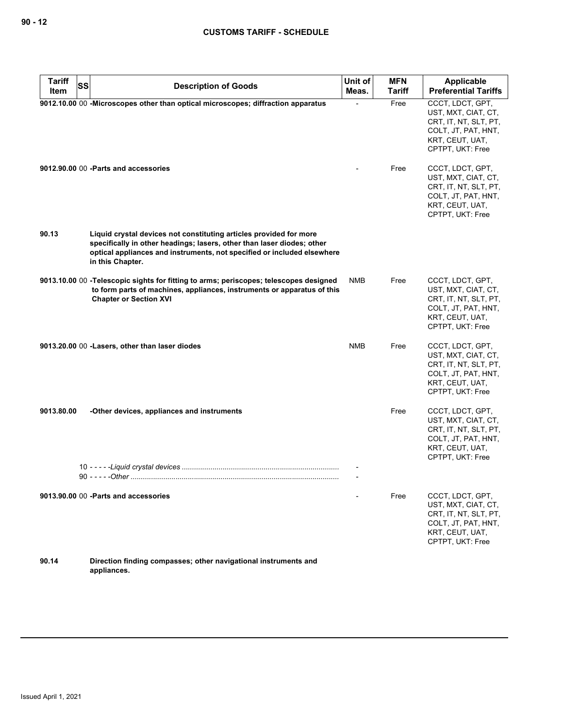| <b>Tariff</b><br><b>SS</b> |                                                                                                                                                                                                                                             | Unit of    | <b>MFN</b>    | <b>Applicable</b>                                                                                                              |
|----------------------------|---------------------------------------------------------------------------------------------------------------------------------------------------------------------------------------------------------------------------------------------|------------|---------------|--------------------------------------------------------------------------------------------------------------------------------|
| Item                       | <b>Description of Goods</b>                                                                                                                                                                                                                 | Meas.      | <b>Tariff</b> | <b>Preferential Tariffs</b>                                                                                                    |
|                            | 9012.10.00 00 - Microscopes other than optical microscopes; diffraction apparatus                                                                                                                                                           |            | Free          | CCCT, LDCT, GPT,<br>UST, MXT, CIAT, CT,<br>CRT, IT, NT, SLT, PT,<br>COLT, JT, PAT, HNT,<br>KRT, CEUT, UAT,<br>CPTPT, UKT: Free |
|                            | 9012.90.00 00 - Parts and accessories                                                                                                                                                                                                       |            | Free          | CCCT, LDCT, GPT,<br>UST, MXT, CIAT, CT,<br>CRT, IT, NT, SLT, PT,<br>COLT, JT, PAT, HNT,<br>KRT, CEUT, UAT,<br>CPTPT, UKT: Free |
| 90.13                      | Liquid crystal devices not constituting articles provided for more<br>specifically in other headings; lasers, other than laser diodes; other<br>optical appliances and instruments, not specified or included elsewhere<br>in this Chapter. |            |               |                                                                                                                                |
|                            | 9013.10.00 00 -Telescopic sights for fitting to arms; periscopes; telescopes designed<br>to form parts of machines, appliances, instruments or apparatus of this<br><b>Chapter or Section XVI</b>                                           | <b>NMB</b> | Free          | CCCT, LDCT, GPT,<br>UST, MXT, CIAT, CT,<br>CRT, IT, NT, SLT, PT,<br>COLT, JT, PAT, HNT,<br>KRT, CEUT, UAT,<br>CPTPT, UKT: Free |
|                            | 9013.20.00 00 -Lasers, other than laser diodes                                                                                                                                                                                              | <b>NMB</b> | Free          | CCCT, LDCT, GPT,<br>UST, MXT, CIAT, CT,<br>CRT, IT, NT, SLT, PT,<br>COLT, JT, PAT, HNT,<br>KRT, CEUT, UAT,<br>CPTPT, UKT: Free |
| 9013.80.00                 | -Other devices, appliances and instruments                                                                                                                                                                                                  |            | Free          | CCCT, LDCT, GPT,<br>UST, MXT, CIAT, CT,<br>CRT, IT, NT, SLT, PT,<br>COLT, JT, PAT, HNT,<br>KRT, CEUT, UAT,<br>CPTPT, UKT: Free |
|                            |                                                                                                                                                                                                                                             |            |               |                                                                                                                                |
|                            | 9013.90.00 00 - Parts and accessories                                                                                                                                                                                                       |            | Free          | CCCT, LDCT, GPT,<br>UST, MXT, CIAT, CT,<br>CRT, IT, NT, SLT, PT,<br>COLT, JT, PAT, HNT,<br>KRT, CEUT, UAT,<br>CPTPT, UKT: Free |
| 90.14                      | Direction finding compasses; other navigational instruments and                                                                                                                                                                             |            |               |                                                                                                                                |

**appliances.**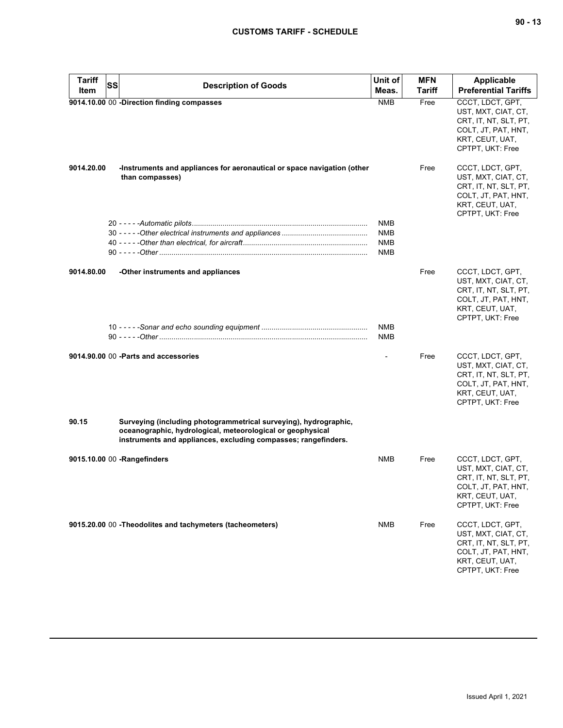| <b>Tariff</b> | SS | <b>Description of Goods</b>                                                                                                                                                                      | Unit of                  | <b>MFN</b> | <b>Applicable</b>                                                                                                              |
|---------------|----|--------------------------------------------------------------------------------------------------------------------------------------------------------------------------------------------------|--------------------------|------------|--------------------------------------------------------------------------------------------------------------------------------|
| Item          |    |                                                                                                                                                                                                  | Meas.                    | Tariff     | <b>Preferential Tariffs</b>                                                                                                    |
|               |    | 9014.10.00 00 -Direction finding compasses                                                                                                                                                       | <b>NMB</b>               | Free       | CCCT, LDCT, GPT,<br>UST, MXT, CIAT, CT,<br>CRT, IT, NT, SLT, PT,<br>COLT, JT, PAT, HNT,<br>KRT, CEUT, UAT,<br>CPTPT, UKT: Free |
| 9014.20.00    |    | -Instruments and appliances for aeronautical or space navigation (other<br>than compasses)                                                                                                       |                          | Free       | CCCT, LDCT, GPT,<br>UST, MXT, CIAT, CT,<br>CRT, IT, NT, SLT, PT,<br>COLT, JT, PAT, HNT,<br>KRT, CEUT, UAT,<br>CPTPT, UKT: Free |
|               |    |                                                                                                                                                                                                  | NMB                      |            |                                                                                                                                |
|               |    |                                                                                                                                                                                                  | NMB<br><b>NMB</b>        |            |                                                                                                                                |
|               |    |                                                                                                                                                                                                  | NMB                      |            |                                                                                                                                |
| 9014.80.00    |    | -Other instruments and appliances                                                                                                                                                                |                          | Free       | CCCT, LDCT, GPT,<br>UST, MXT, CIAT, CT,<br>CRT, IT, NT, SLT, PT,<br>COLT, JT, PAT, HNT,<br>KRT, CEUT, UAT,<br>CPTPT, UKT: Free |
|               |    |                                                                                                                                                                                                  | <b>NMB</b><br><b>NMB</b> |            |                                                                                                                                |
|               |    | 9014.90.00 00 - Parts and accessories                                                                                                                                                            |                          | Free       | CCCT, LDCT, GPT,<br>UST, MXT, CIAT, CT,<br>CRT, IT, NT, SLT, PT,<br>COLT, JT, PAT, HNT,<br>KRT, CEUT, UAT,<br>CPTPT, UKT: Free |
| 90.15         |    | Surveying (including photogrammetrical surveying), hydrographic,<br>oceanographic, hydrological, meteorological or geophysical<br>instruments and appliances, excluding compasses; rangefinders. |                          |            |                                                                                                                                |
|               |    | 9015.10.00 00 -Rangefinders                                                                                                                                                                      | <b>NMB</b>               | Free       | CCCT, LDCT, GPT,<br>UST, MXT, CIAT, CT,<br>CRT, IT, NT, SLT, PT,<br>COLT, JT, PAT, HNT,<br>KRT, CEUT, UAT,<br>CPTPT, UKT: Free |
|               |    | 9015.20.00 00 - Theodolites and tachymeters (tacheometers)                                                                                                                                       | NMB                      | Free       | CCCT, LDCT, GPT,<br>UST, MXT, CIAT, CT,<br>CRT, IT, NT, SLT, PT,<br>COLT, JT, PAT, HNT,<br>KRT, CEUT, UAT,<br>CPTPT, UKT: Free |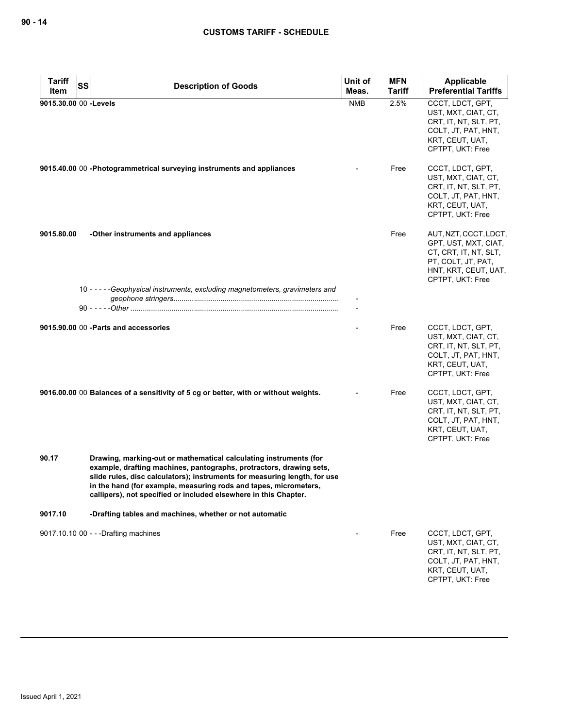| <b>Tariff</b><br><b>SS</b> | <b>Description of Goods</b>                                                                                                                                                                                                                                                                                                                                   | Unit of    | <b>MFN</b>    | Applicable                                                                                                                               |
|----------------------------|---------------------------------------------------------------------------------------------------------------------------------------------------------------------------------------------------------------------------------------------------------------------------------------------------------------------------------------------------------------|------------|---------------|------------------------------------------------------------------------------------------------------------------------------------------|
| Item                       |                                                                                                                                                                                                                                                                                                                                                               | Meas.      | <b>Tariff</b> | <b>Preferential Tariffs</b>                                                                                                              |
| 9015.30.00 00 -Levels      |                                                                                                                                                                                                                                                                                                                                                               | <b>NMB</b> | 2.5%          | CCCT, LDCT, GPT,<br>UST, MXT, CIAT, CT,<br>CRT, IT, NT, SLT, PT,<br>COLT, JT, PAT, HNT,<br>KRT, CEUT, UAT,<br>CPTPT, UKT: Free           |
|                            | 9015.40.00 00 -Photogrammetrical surveying instruments and appliances                                                                                                                                                                                                                                                                                         |            | Free          | CCCT, LDCT, GPT,<br>UST, MXT, CIAT, CT,<br>CRT, IT, NT, SLT, PT,<br>COLT, JT, PAT, HNT,<br>KRT, CEUT, UAT,<br>CPTPT, UKT: Free           |
| 9015.80.00                 | -Other instruments and appliances                                                                                                                                                                                                                                                                                                                             |            | Free          | AUT, NZT, CCCT, LDCT,<br>GPT, UST, MXT, CIAT,<br>CT, CRT, IT, NT, SLT,<br>PT, COLT, JT, PAT,<br>HNT, KRT, CEUT, UAT,<br>CPTPT, UKT: Free |
|                            | 10 -----Geophysical instruments, excluding magnetometers, gravimeters and                                                                                                                                                                                                                                                                                     |            |               |                                                                                                                                          |
|                            | 9015,90,00 00 - Parts and accessories                                                                                                                                                                                                                                                                                                                         |            | Free          | CCCT, LDCT, GPT,<br>UST, MXT, CIAT, CT,<br>CRT, IT, NT, SLT, PT,<br>COLT, JT, PAT, HNT,<br>KRT, CEUT, UAT,<br>CPTPT, UKT: Free           |
|                            | 9016.00.00 00 Balances of a sensitivity of 5 cg or better, with or without weights.                                                                                                                                                                                                                                                                           |            | Free          | CCCT, LDCT, GPT,<br>UST, MXT, CIAT, CT,<br>CRT, IT, NT, SLT, PT,<br>COLT, JT, PAT, HNT,<br>KRT, CEUT, UAT,<br>CPTPT, UKT: Free           |
| 90.17                      | Drawing, marking-out or mathematical calculating instruments (for<br>example, drafting machines, pantographs, protractors, drawing sets,<br>slide rules, disc calculators); instruments for measuring length, for use<br>in the hand (for example, measuring rods and tapes, micrometers,<br>callipers), not specified or included elsewhere in this Chapter. |            |               |                                                                                                                                          |
| 9017.10                    | -Drafting tables and machines, whether or not automatic                                                                                                                                                                                                                                                                                                       |            |               |                                                                                                                                          |
|                            | 9017.10.10 00 - - - Drafting machines                                                                                                                                                                                                                                                                                                                         |            | Free          | CCCT, LDCT, GPT,<br>UST, MXT, CIAT, CT,<br>CRT, IT, NT, SLT, PT,<br>COLT, JT, PAT, HNT,<br>KRT, CEUT, UAT,<br>CPTPT, UKT: Free           |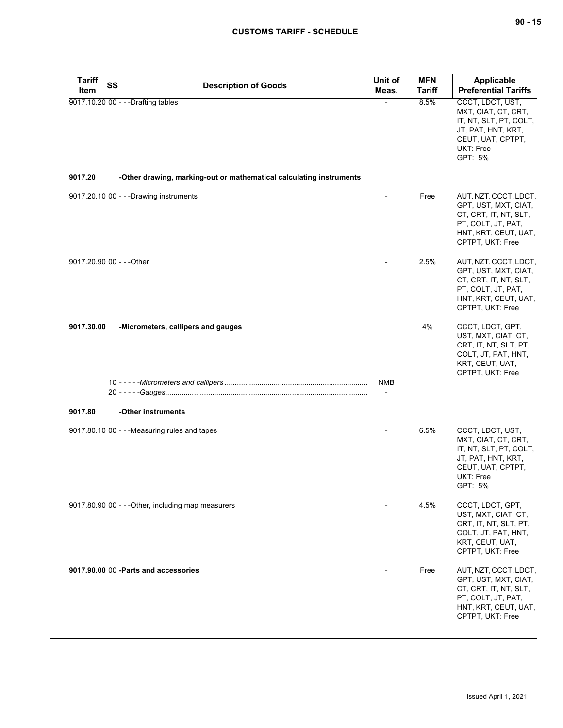| <b>Tariff</b><br><b>SS</b> | <b>Description of Goods</b>                                         | Unit of                  | <b>MFN</b>    | <b>Applicable</b>                                                                                                                        |
|----------------------------|---------------------------------------------------------------------|--------------------------|---------------|------------------------------------------------------------------------------------------------------------------------------------------|
| Item                       |                                                                     | Meas.                    | <b>Tariff</b> | <b>Preferential Tariffs</b>                                                                                                              |
|                            | 9017.10.20 00 - - - Drafting tables                                 |                          | 8.5%          | CCCT, LDCT, UST,<br>MXT, CIAT, CT, CRT,<br>IT, NT, SLT, PT, COLT,<br>JT, PAT, HNT, KRT,<br>CEUT, UAT, CPTPT,<br>UKT: Free<br>GPT: 5%     |
| 9017.20                    | -Other drawing, marking-out or mathematical calculating instruments |                          |               |                                                                                                                                          |
|                            | 9017.20.10 00 - - - Drawing instruments                             |                          | Free          | AUT, NZT, CCCT, LDCT,<br>GPT, UST, MXT, CIAT,<br>CT, CRT, IT, NT, SLT,<br>PT, COLT, JT, PAT,<br>HNT, KRT, CEUT, UAT,<br>CPTPT, UKT: Free |
| 9017.20.90 00 - - - Other  |                                                                     |                          | 2.5%          | AUT, NZT, CCCT, LDCT,<br>GPT, UST, MXT, CIAT,<br>CT, CRT, IT, NT, SLT,<br>PT, COLT, JT, PAT,<br>HNT, KRT, CEUT, UAT,<br>CPTPT, UKT: Free |
| 9017.30.00                 | -Micrometers, callipers and gauges                                  | NMB                      | 4%            | CCCT, LDCT, GPT,<br>UST, MXT, CIAT, CT,<br>CRT, IT, NT, SLT, PT,<br>COLT, JT, PAT, HNT,<br>KRT, CEUT, UAT,<br>CPTPT, UKT: Free           |
|                            |                                                                     | $\overline{\phantom{a}}$ |               |                                                                                                                                          |
| 9017.80                    | -Other instruments                                                  |                          |               |                                                                                                                                          |
|                            | 9017.80.10 00 - - - Measuring rules and tapes                       |                          | 6.5%          | CCCT, LDCT, UST,<br>MXT, CIAT, CT, CRT,<br>IT, NT, SLT, PT, COLT,<br>JT, PAT, HNT, KRT,<br>CEUT, UAT, CPTPT,<br>UKT: Free<br>GPT: 5%     |
|                            | 9017.80.90 00 - - - Other, including map measurers                  |                          | 4.5%          | CCCT, LDCT, GPT,<br>UST, MXT, CIAT, CT,<br>CRT, IT, NT, SLT, PT,<br>COLT, JT, PAT, HNT,<br>KRT, CEUT, UAT,<br>CPTPT, UKT: Free           |
|                            | 9017.90.00 00 - Parts and accessories                               |                          | Free          | AUT, NZT, CCCT, LDCT,<br>GPT, UST, MXT, CIAT,<br>CT, CRT, IT, NT, SLT,<br>PT, COLT, JT, PAT,<br>HNT, KRT, CEUT, UAT,<br>CPTPT, UKT: Free |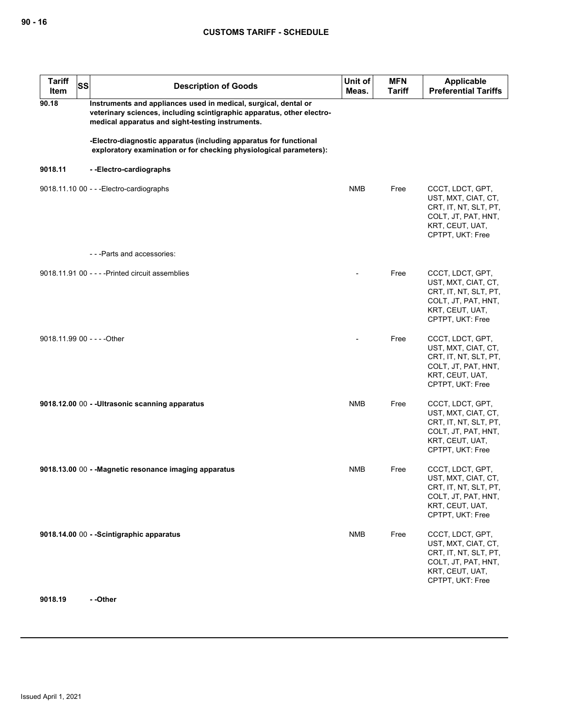| <b>Tariff</b><br>Item       | <b>SS</b> | <b>Description of Goods</b>                                                                                                                                                                   | Unit of<br>Meas. | <b>MFN</b><br><b>Tariff</b> | <b>Applicable</b><br><b>Preferential Tariffs</b>                                                                               |
|-----------------------------|-----------|-----------------------------------------------------------------------------------------------------------------------------------------------------------------------------------------------|------------------|-----------------------------|--------------------------------------------------------------------------------------------------------------------------------|
| 90.18                       |           | Instruments and appliances used in medical, surgical, dental or<br>veterinary sciences, including scintigraphic apparatus, other electro-<br>medical apparatus and sight-testing instruments. |                  |                             |                                                                                                                                |
|                             |           | -Electro-diagnostic apparatus (including apparatus for functional<br>exploratory examination or for checking physiological parameters):                                                       |                  |                             |                                                                                                                                |
| 9018.11                     |           | --Electro-cardiographs                                                                                                                                                                        |                  |                             |                                                                                                                                |
|                             |           | 9018.11.10 00 - - - Electro-cardiographs                                                                                                                                                      | <b>NMB</b>       | Free                        | CCCT, LDCT, GPT,<br>UST, MXT, CIAT, CT,<br>CRT, IT, NT, SLT, PT,<br>COLT, JT, PAT, HNT,<br>KRT, CEUT, UAT,<br>CPTPT, UKT: Free |
|                             |           | ---Parts and accessories:                                                                                                                                                                     |                  |                             |                                                                                                                                |
|                             |           | 9018.11.91 00 - - - - Printed circuit assemblies                                                                                                                                              |                  | Free                        | CCCT, LDCT, GPT,<br>UST, MXT, CIAT, CT,<br>CRT, IT, NT, SLT, PT,<br>COLT, JT, PAT, HNT,<br>KRT, CEUT, UAT,<br>CPTPT, UKT: Free |
| 9018.11.99 00 - - - - Other |           |                                                                                                                                                                                               |                  | Free                        | CCCT, LDCT, GPT,<br>UST, MXT, CIAT, CT,<br>CRT, IT, NT, SLT, PT,<br>COLT, JT, PAT, HNT,<br>KRT, CEUT, UAT,<br>CPTPT, UKT: Free |
|                             |           | 9018.12.00 00 - - Ultrasonic scanning apparatus                                                                                                                                               | <b>NMB</b>       | Free                        | CCCT, LDCT, GPT,<br>UST, MXT, CIAT, CT,<br>CRT, IT, NT, SLT, PT,<br>COLT, JT, PAT, HNT,<br>KRT, CEUT, UAT,<br>CPTPT, UKT: Free |
|                             |           | 9018.13.00 00 - - Magnetic resonance imaging apparatus                                                                                                                                        | NMB              | Free                        | CCCT, LDCT, GPT,<br>UST, MXT, CIAT, CT,<br>CRT, IT, NT, SLT, PT,<br>COLT, JT, PAT, HNT,<br>KRT, CEUT, UAT,<br>CPTPT, UKT: Free |
|                             |           | 9018.14.00 00 - - Scintigraphic apparatus                                                                                                                                                     | <b>NMB</b>       | Free                        | CCCT, LDCT, GPT,<br>UST, MXT, CIAT, CT,<br>CRT, IT, NT, SLT, PT,<br>COLT, JT, PAT, HNT,<br>KRT, CEUT, UAT,<br>CPTPT, UKT: Free |

**9018.19 - -Other**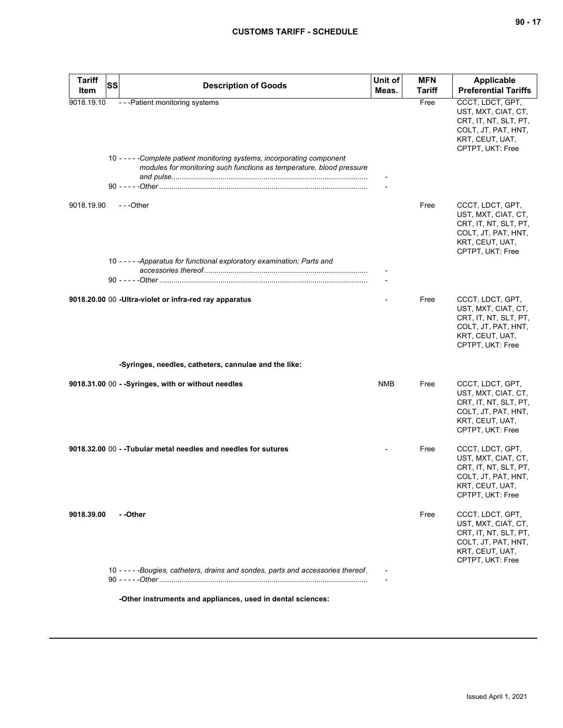| <b>Tariff</b><br>Item | <b>SS</b> | <b>Description of Goods</b>                                                                                                                                                           | Unit of<br>Meas. | <b>MFN</b><br><b>Tariff</b> | <b>Applicable</b><br><b>Preferential Tariffs</b>                                                                               |
|-----------------------|-----------|---------------------------------------------------------------------------------------------------------------------------------------------------------------------------------------|------------------|-----------------------------|--------------------------------------------------------------------------------------------------------------------------------|
| 9018.19.10            |           | - - - Patient monitoring systems<br>10 - - - - - Complete patient monitoring systems, incorporating component<br>modules for monitoring such functions as temperature, blood pressure |                  | Free                        | CCCT, LDCT, GPT,<br>UST, MXT, CIAT, CT,<br>CRT, IT, NT, SLT, PT,<br>COLT, JT, PAT, HNT,<br>KRT, CEUT, UAT,<br>CPTPT, UKT: Free |
| 9018.19.90            |           | $- -$ Other<br>10 - - - - - Apparatus for functional exploratory examination; Parts and                                                                                               |                  | Free                        | CCCT, LDCT, GPT,<br>UST, MXT, CIAT, CT,<br>CRT, IT, NT, SLT, PT,<br>COLT, JT, PAT, HNT,<br>KRT, CEUT, UAT,<br>CPTPT, UKT: Free |
|                       |           |                                                                                                                                                                                       |                  |                             |                                                                                                                                |
|                       |           | 9018.20.00 00 - Ultra-violet or infra-red ray apparatus                                                                                                                               |                  | Free                        | CCCT, LDCT, GPT,<br>UST, MXT, CIAT, CT,<br>CRT, IT, NT, SLT, PT,<br>COLT, JT, PAT, HNT,<br>KRT, CEUT, UAT,<br>CPTPT, UKT: Free |
|                       |           | -Syringes, needles, catheters, cannulae and the like:                                                                                                                                 |                  |                             |                                                                                                                                |
|                       |           | 9018.31.00 00 - - Syringes, with or without needles                                                                                                                                   | <b>NMB</b>       | Free                        | CCCT, LDCT, GPT,<br>UST, MXT, CIAT, CT,<br>CRT, IT, NT, SLT, PT,<br>COLT, JT, PAT, HNT,<br>KRT, CEUT, UAT,<br>CPTPT, UKT: Free |
|                       |           | 9018.32.00 00 - - Tubular metal needles and needles for sutures                                                                                                                       |                  | Free                        | CCCT, LDCT, GPT,<br>UST, MXT, CIAT, CT,<br>CRT, IT, NT, SLT, PT,<br>COLT, JT, PAT, HNT,<br>KRI, CEUI, UAI,<br>CPTPT, UKT: Free |
| 9018.39.00            |           | - -Other                                                                                                                                                                              |                  | Free                        | CCCT, LDCT, GPT,<br>UST, MXT, CIAT, CT,<br>CRT, IT, NT, SLT, PT,<br>COLT, JT, PAT, HNT,<br>KRT, CEUT, UAT,<br>CPTPT, UKT: Free |
|                       |           | 10 - - - - - Bougies, catheters, drains and sondes, parts and accessories thereof.                                                                                                    |                  |                             |                                                                                                                                |
|                       |           | -Other instruments and appliances, used in dental sciences:                                                                                                                           |                  |                             |                                                                                                                                |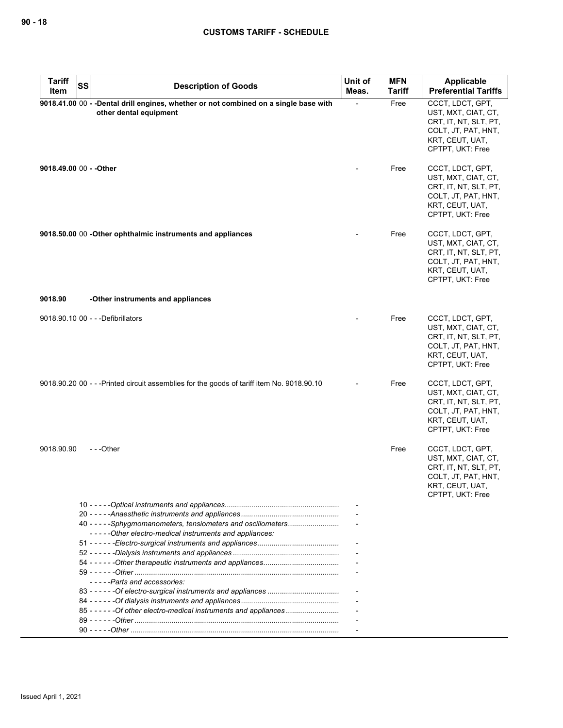| <b>Tariff</b>           | SS |                                                                                                                | Unit of | <b>MFN</b>    | Applicable                                                                                                                     |
|-------------------------|----|----------------------------------------------------------------------------------------------------------------|---------|---------------|--------------------------------------------------------------------------------------------------------------------------------|
| Item                    |    | <b>Description of Goods</b>                                                                                    | Meas.   | <b>Tariff</b> | <b>Preferential Tariffs</b>                                                                                                    |
|                         |    | 9018.41.00 00 - -Dental drill engines, whether or not combined on a single base with<br>other dental equipment |         | Free          | CCCT, LDCT, GPT,<br>UST, MXT, CIAT, CT,<br>CRT, IT, NT, SLT, PT,<br>COLT, JT, PAT, HNT,<br>KRT, CEUT, UAT,<br>CPTPT, UKT: Free |
| 9018.49.00 00 - - Other |    |                                                                                                                |         | Free          | CCCT, LDCT, GPT,<br>UST, MXT, CIAT, CT,<br>CRT, IT, NT, SLT, PT,<br>COLT, JT, PAT, HNT,<br>KRT, CEUT, UAT,<br>CPTPT, UKT: Free |
|                         |    | 9018.50.00 00 - Other ophthalmic instruments and appliances                                                    |         | Free          | CCCT, LDCT, GPT,<br>UST, MXT, CIAT, CT,<br>CRT, IT, NT, SLT, PT,<br>COLT, JT, PAT, HNT,<br>KRT, CEUT, UAT,<br>CPTPT, UKT: Free |
| 9018.90                 |    | -Other instruments and appliances                                                                              |         |               |                                                                                                                                |
|                         |    | 9018.90.10 00 - - - Defibrillators                                                                             |         | Free          | CCCT, LDCT, GPT,<br>UST, MXT, CIAT, CT,<br>CRT, IT, NT, SLT, PT,<br>COLT, JT, PAT, HNT,<br>KRT, CEUT, UAT,<br>CPTPT, UKT: Free |
|                         |    | 9018.90.20 00 - - -Printed circuit assemblies for the goods of tariff item No. 9018.90.10                      |         | Free          | CCCT, LDCT, GPT,<br>UST, MXT, CIAT, CT,<br>CRT, IT, NT, SLT, PT,<br>COLT, JT, PAT, HNT,<br>KRT, CEUT, UAT,<br>CPTPT, UKT: Free |
| 9018.90.90              |    | ---Other                                                                                                       |         | Free          | CCCT, LDCT, GPT,<br>UST, MXT, CIAT, CT,<br>CRT, IT, NT, SLT, PT,<br>COLT, JT, PAT, HNT,<br>KRT, CEUT, UAT,<br>CPTPT, UKT: Free |
|                         |    |                                                                                                                |         |               |                                                                                                                                |
|                         |    | 40 - - - - - Sphygmomanometers, tensiometers and oscillometers                                                 |         |               |                                                                                                                                |
|                         |    | -----Other electro-medical instruments and appliances:                                                         |         |               |                                                                                                                                |
|                         |    |                                                                                                                |         |               |                                                                                                                                |
|                         |    |                                                                                                                |         |               |                                                                                                                                |
|                         |    |                                                                                                                |         |               |                                                                                                                                |
|                         |    | -----Parts and accessories:                                                                                    |         |               |                                                                                                                                |
|                         |    |                                                                                                                |         |               |                                                                                                                                |
|                         |    |                                                                                                                |         |               |                                                                                                                                |
|                         |    | 85 - - - - - - Of other electro-medical instruments and appliances                                             |         |               |                                                                                                                                |
|                         |    |                                                                                                                |         |               |                                                                                                                                |
|                         |    |                                                                                                                |         |               |                                                                                                                                |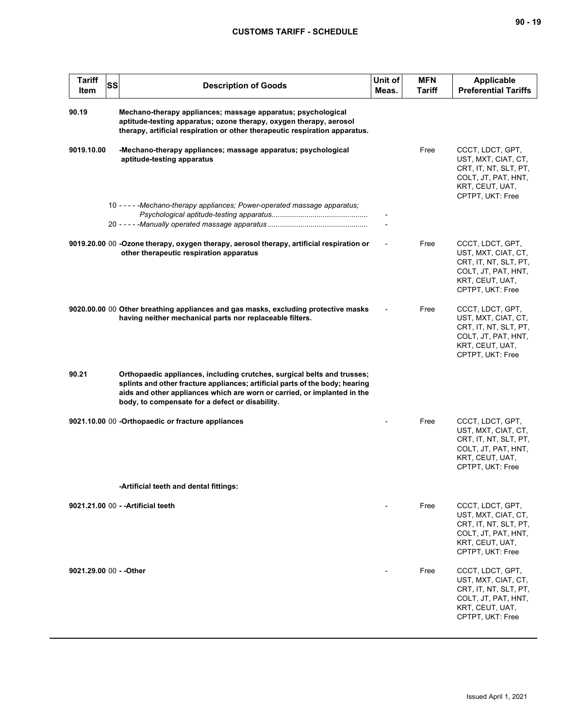| <b>Tariff</b><br><b>SS</b><br>Item | <b>Description of Goods</b>                                                                                                                                                                                                                                                            | Unit of<br>Meas. | <b>MFN</b><br>Tariff | <b>Applicable</b><br><b>Preferential Tariffs</b>                                                                               |
|------------------------------------|----------------------------------------------------------------------------------------------------------------------------------------------------------------------------------------------------------------------------------------------------------------------------------------|------------------|----------------------|--------------------------------------------------------------------------------------------------------------------------------|
| 90.19                              | Mechano-therapy appliances; massage apparatus; psychological<br>aptitude-testing apparatus; ozone therapy, oxygen therapy, aerosol<br>therapy, artificial respiration or other therapeutic respiration apparatus.                                                                      |                  |                      |                                                                                                                                |
| 9019.10.00                         | -Mechano-therapy appliances; massage apparatus; psychological<br>aptitude-testing apparatus                                                                                                                                                                                            |                  | Free                 | CCCT, LDCT, GPT,<br>UST, MXT, CIAT, CT,<br>CRT, IT, NT, SLT, PT,<br>COLT, JT, PAT, HNT,<br>KRT, CEUT, UAT,<br>CPTPT, UKT: Free |
|                                    | 10 - - - - - Mechano-therapy appliances; Power-operated massage apparatus;                                                                                                                                                                                                             |                  |                      |                                                                                                                                |
|                                    | 9019.20.00 00 -Ozone therapy, oxygen therapy, aerosol therapy, artificial respiration or<br>other therapeutic respiration apparatus                                                                                                                                                    |                  | Free                 | CCCT, LDCT, GPT,<br>UST, MXT, CIAT, CT,<br>CRT, IT, NT, SLT, PT,<br>COLT, JT, PAT, HNT,<br>KRT, CEUT, UAT,<br>CPTPT, UKT: Free |
|                                    | 9020.00.00 00 Other breathing appliances and gas masks, excluding protective masks<br>having neither mechanical parts nor replaceable filters.                                                                                                                                         |                  | Free                 | CCCT, LDCT, GPT,<br>UST, MXT, CIAT, CT,<br>CRT, IT, NT, SLT, PT,<br>COLT, JT, PAT, HNT,<br>KRT, CEUT, UAT,<br>CPTPT, UKT: Free |
| 90.21                              | Orthopaedic appliances, including crutches, surgical belts and trusses;<br>splints and other fracture appliances; artificial parts of the body; hearing<br>aids and other appliances which are worn or carried, or implanted in the<br>body, to compensate for a defect or disability. |                  |                      |                                                                                                                                |
|                                    | 9021.10.00 00 -Orthopaedic or fracture appliances                                                                                                                                                                                                                                      |                  | Free                 | CCCT, LDCT, GPT,<br>UST, MXT, CIAT, CT,<br>CRT, IT, NT, SLT, PT,<br>COLT, JT, PAT, HNT,<br>KRT, CEUT, UAT,<br>CPTPT, UKT: Free |
|                                    | -Artificial teeth and dental fittings:                                                                                                                                                                                                                                                 |                  |                      |                                                                                                                                |
|                                    | 9021.21.00 00 - - Artificial teeth                                                                                                                                                                                                                                                     |                  | Free                 | CCCT, LDCT, GPT,<br>UST, MXT, CIAT, CT,<br>CRT, IT, NT, SLT, PT,<br>COLT, JT, PAT, HNT,<br>KRT, CEUT, UAT,<br>CPTPT, UKT: Free |
| 9021.29.00 00 - - Other            |                                                                                                                                                                                                                                                                                        |                  | Free                 | CCCT, LDCT, GPT,<br>UST, MXT, CIAT, CT,<br>CRT, IT, NT, SLT, PT,<br>COLT, JT, PAT, HNT,<br>KRT, CEUT, UAT,<br>CPTPT, UKT: Free |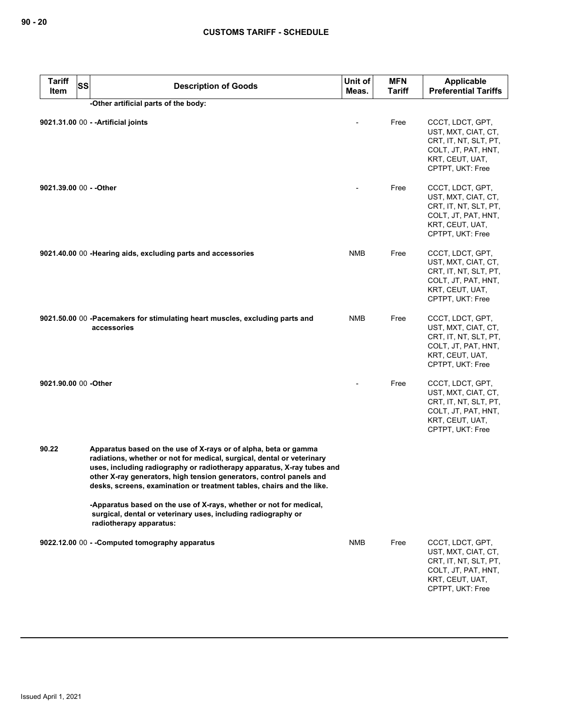| <b>Tariff</b><br><b>SS</b><br>Item | <b>Description of Goods</b>                                                                                                                                                                                                                                                                                                                                         | Unit of<br>Meas. | MFN<br><b>Tariff</b> | Applicable<br><b>Preferential Tariffs</b>                                                                                      |
|------------------------------------|---------------------------------------------------------------------------------------------------------------------------------------------------------------------------------------------------------------------------------------------------------------------------------------------------------------------------------------------------------------------|------------------|----------------------|--------------------------------------------------------------------------------------------------------------------------------|
|                                    | -Other artificial parts of the body:                                                                                                                                                                                                                                                                                                                                |                  |                      |                                                                                                                                |
|                                    | 9021.31.00 00 - - Artificial joints                                                                                                                                                                                                                                                                                                                                 |                  | Free                 | CCCT, LDCT, GPT,<br>UST, MXT, CIAT, CT,<br>CRT, IT, NT, SLT, PT,<br>COLT, JT, PAT, HNT,<br>KRT, CEUT, UAT,<br>CPTPT, UKT: Free |
| 9021.39.00 00 - - Other            |                                                                                                                                                                                                                                                                                                                                                                     |                  | Free                 | CCCT, LDCT, GPT,<br>UST, MXT, CIAT, CT,<br>CRT, IT, NT, SLT, PT,<br>COLT, JT, PAT, HNT,<br>KRT, CEUT, UAT,<br>CPTPT, UKT: Free |
|                                    | 9021.40.00 00 - Hearing aids, excluding parts and accessories                                                                                                                                                                                                                                                                                                       | <b>NMB</b>       | Free                 | CCCT, LDCT, GPT,<br>UST, MXT, CIAT, CT,<br>CRT, IT, NT, SLT, PT,<br>COLT, JT, PAT, HNT,<br>KRT, CEUT, UAT,<br>CPTPT, UKT: Free |
|                                    | 9021.50.00 00 -Pacemakers for stimulating heart muscles, excluding parts and<br>accessories                                                                                                                                                                                                                                                                         | <b>NMB</b>       | Free                 | CCCT, LDCT, GPT,<br>UST, MXT, CIAT, CT,<br>CRT, IT, NT, SLT, PT,<br>COLT, JT, PAT, HNT,<br>KRT, CEUT, UAT,<br>CPTPT, UKT: Free |
| 9021.90.00 00 -Other               |                                                                                                                                                                                                                                                                                                                                                                     |                  | Free                 | CCCT, LDCT, GPT,<br>UST, MXT, CIAT, CT,<br>CRT, IT, NT, SLT, PT,<br>COLT, JT, PAT, HNT,<br>KRT, CEUT, UAT,<br>CPTPT, UKT: Free |
| 90.22                              | Apparatus based on the use of X-rays or of alpha, beta or gamma<br>radiations, whether or not for medical, surgical, dental or veterinary<br>uses, including radiography or radiotherapy apparatus, X-ray tubes and<br>other X-ray generators, high tension generators, control panels and<br>desks, screens, examination or treatment tables, chairs and the like. |                  |                      |                                                                                                                                |
|                                    | -Apparatus based on the use of X-rays, whether or not for medical,<br>surgical, dental or veterinary uses, including radiography or<br>radiotherapy apparatus:                                                                                                                                                                                                      |                  |                      |                                                                                                                                |
|                                    | 9022.12.00 00 - - Computed tomography apparatus                                                                                                                                                                                                                                                                                                                     | <b>NMB</b>       | Free                 | CCCT, LDCT, GPT,<br>UST, MXT, CIAT, CT,<br>CRT, IT, NT, SLT, PT,<br>COLT, JT, PAT, HNT,<br>KRT, CEUT, UAT,<br>CPTPT, UKT: Free |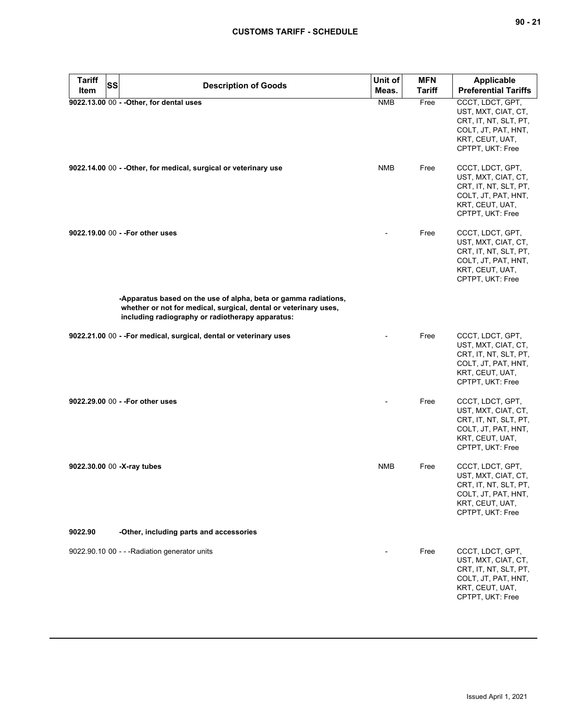| <b>Tariff</b><br><b>SS</b> | <b>Description of Goods</b>                                                                                                                                                             | Unit of             | <b>MFN</b>            | <b>Applicable</b>                                                                                                              |
|----------------------------|-----------------------------------------------------------------------------------------------------------------------------------------------------------------------------------------|---------------------|-----------------------|--------------------------------------------------------------------------------------------------------------------------------|
| Item                       | 9022.13.00 00 - - Other, for dental uses                                                                                                                                                | Meas.<br><b>NMB</b> | <b>Tariff</b><br>Free | <b>Preferential Tariffs</b><br>CCCT, LDCT, GPT,                                                                                |
|                            |                                                                                                                                                                                         |                     |                       | UST, MXT, CIAT, CT,<br>CRT, IT, NT, SLT, PT,<br>COLT, JT, PAT, HNT,<br>KRT, CEUT, UAT,<br>CPTPT, UKT: Free                     |
|                            | 9022.14.00 00 - - Other, for medical, surgical or veterinary use                                                                                                                        | NMB                 | Free                  | CCCT, LDCT, GPT,<br>UST, MXT, CIAT, CT,<br>CRT, IT, NT, SLT, PT,<br>COLT, JT, PAT, HNT,<br>KRT, CEUT, UAT,<br>CPTPT, UKT: Free |
|                            | 9022.19.00 00 - - For other uses                                                                                                                                                        |                     | Free                  | CCCT, LDCT, GPT,<br>UST, MXT, CIAT, CT,<br>CRT, IT, NT, SLT, PT,<br>COLT, JT, PAT, HNT,<br>KRT, CEUT, UAT,<br>CPTPT, UKT: Free |
|                            | -Apparatus based on the use of alpha, beta or gamma radiations,<br>whether or not for medical, surgical, dental or veterinary uses,<br>including radiography or radiotherapy apparatus: |                     |                       |                                                                                                                                |
|                            | 9022.21.00 00 - -For medical, surgical, dental or veterinary uses                                                                                                                       |                     | Free                  | CCCT, LDCT, GPT,<br>UST, MXT, CIAT, CT,<br>CRT, IT, NT, SLT, PT,<br>COLT, JT, PAT, HNT,<br>KRT, CEUT, UAT,<br>CPTPT, UKT: Free |
|                            | 9022.29.00 00 - - For other uses                                                                                                                                                        |                     | Free                  | CCCT, LDCT, GPT,<br>UST, MXT, CIAT, CT,<br>CRT, IT, NT, SLT, PT,<br>COLT, JT, PAT, HNT,<br>KRT, CEUT, UAT,<br>CPTPT, UKT: Free |
| 9022.30.00 00 -X-ray tubes |                                                                                                                                                                                         | <b>NMB</b>          | Free                  | CCCT, LDCT, GPT,<br>UST, MXT, CIAT, CT,<br>CRT, IT, NT, SLT, PT,<br>COLT, JT, PAT, HNT,<br>KRT, CEUT, UAT,<br>CPTPT, UKT: Free |
| 9022.90                    | -Other, including parts and accessories                                                                                                                                                 |                     |                       |                                                                                                                                |
|                            | 9022.90.10 00 - - - Radiation generator units                                                                                                                                           |                     | Free                  | CCCT, LDCT, GPT,<br>UST, MXT, CIAT, CT,<br>CRT, IT, NT, SLT, PT,<br>COLT, JT, PAT, HNT,<br>KRT, CEUT, UAT,<br>CPTPT, UKT: Free |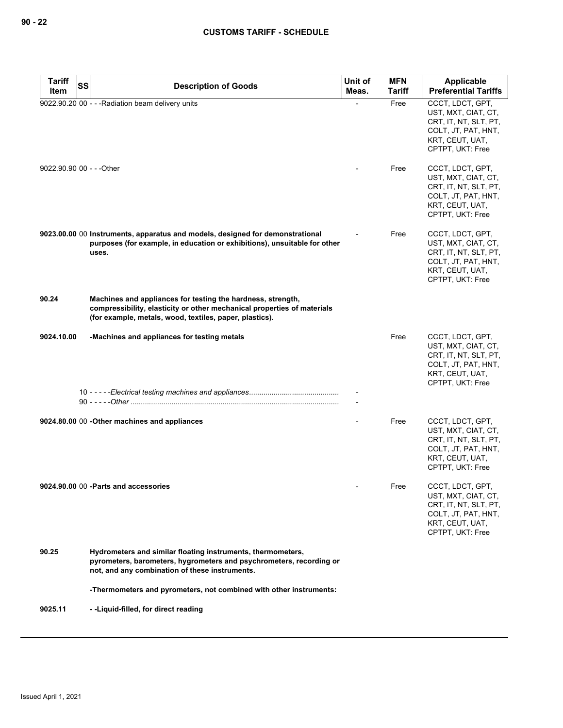| <b>Tariff</b><br><b>SS</b> | <b>Description of Goods</b>                                                                                                                                                                       | Unit of | <b>MFN</b>    | <b>Applicable</b>                                                                                                              |
|----------------------------|---------------------------------------------------------------------------------------------------------------------------------------------------------------------------------------------------|---------|---------------|--------------------------------------------------------------------------------------------------------------------------------|
| Item                       |                                                                                                                                                                                                   | Meas.   | <b>Tariff</b> | <b>Preferential Tariffs</b>                                                                                                    |
|                            | 9022.90.20 00 - - - Radiation beam delivery units                                                                                                                                                 |         | Free          | CCCT, LDCT, GPT,<br>UST, MXT, CIAT, CT,<br>CRT, IT, NT, SLT, PT,<br>COLT, JT, PAT, HNT,<br>KRT, CEUT, UAT,<br>CPTPT, UKT: Free |
| 9022.90.90 00 - - - Other  |                                                                                                                                                                                                   |         | Free          | CCCT, LDCT, GPT,<br>UST, MXT, CIAT, CT,<br>CRT, IT, NT, SLT, PT,<br>COLT, JT, PAT, HNT,<br>KRT, CEUT, UAT,<br>CPTPT, UKT: Free |
|                            | 9023.00.00 00 Instruments, apparatus and models, designed for demonstrational<br>purposes (for example, in education or exhibitions), unsuitable for other<br>uses.                               |         | Free          | CCCT, LDCT, GPT,<br>UST, MXT, CIAT, CT,<br>CRT, IT, NT, SLT, PT,<br>COLT, JT, PAT, HNT,<br>KRT, CEUT, UAT,<br>CPTPT, UKT: Free |
| 90.24                      | Machines and appliances for testing the hardness, strength,<br>compressibility, elasticity or other mechanical properties of materials<br>(for example, metals, wood, textiles, paper, plastics). |         |               |                                                                                                                                |
| 9024.10.00                 | -Machines and appliances for testing metals                                                                                                                                                       |         | Free          | CCCT, LDCT, GPT,<br>UST, MXT, CIAT, CT,<br>CRT, IT, NT, SLT, PT,<br>COLT, JT, PAT, HNT,<br>KRT, CEUT, UAT,<br>CPTPT, UKT: Free |
|                            |                                                                                                                                                                                                   |         |               |                                                                                                                                |
|                            | 9024.80.00 00 - Other machines and appliances                                                                                                                                                     |         | Free          | CCCT, LDCT, GPT,<br>UST, MXT, CIAT, CT,<br>CRT, IT, NT, SLT, PT,<br>COLT, JT, PAT, HNT,<br>KRT, CEUT, UAT,<br>CPTPT, UKT: Free |
|                            | 9024.90.00 00 -Parts and accessories                                                                                                                                                              |         | Free          | CCCT, LDCT, GPT,<br>UST, MXT, CIAT, CT,<br>CRT, IT, NT, SLT, PT,<br>COLT, JT, PAT, HNT,<br>KRT, CEUT, UAT,<br>CPTPT, UKT: Free |
| 90.25                      | Hydrometers and similar floating instruments, thermometers,<br>pyrometers, barometers, hygrometers and psychrometers, recording or<br>not, and any combination of these instruments.              |         |               |                                                                                                                                |
|                            | -Thermometers and pyrometers, not combined with other instruments:                                                                                                                                |         |               |                                                                                                                                |
| 9025.11                    | --Liquid-filled, for direct reading                                                                                                                                                               |         |               |                                                                                                                                |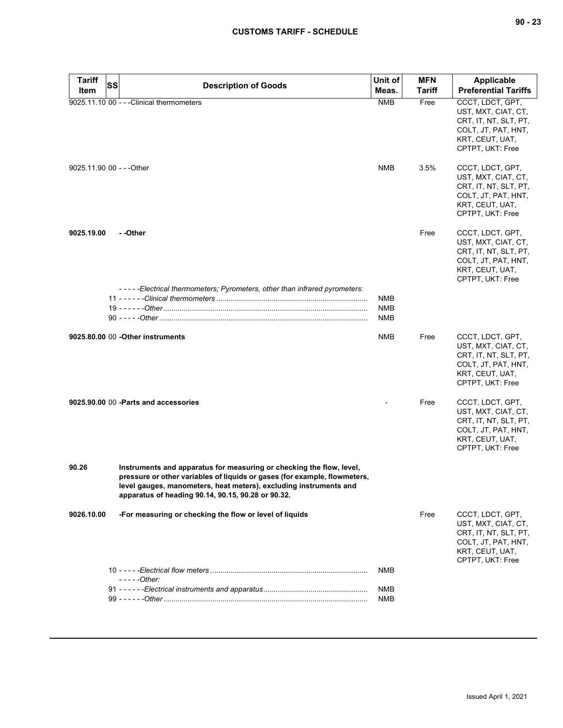| <b>Tariff</b> | SS<br><b>Description of Goods</b>                                                                                                                                                                                                                                            | Unit of                         | <b>MFN</b>    | <b>Applicable</b>                                                                                                              |
|---------------|------------------------------------------------------------------------------------------------------------------------------------------------------------------------------------------------------------------------------------------------------------------------------|---------------------------------|---------------|--------------------------------------------------------------------------------------------------------------------------------|
| Item          |                                                                                                                                                                                                                                                                              | Meas.                           | <b>Tariff</b> | <b>Preferential Tariffs</b>                                                                                                    |
|               | 9025.11.10 00 - - - Clinical thermometers                                                                                                                                                                                                                                    | <b>NMB</b>                      | Free          | CCCT, LDCT, GPT,<br>UST, MXT, CIAT, CT,<br>CRT, IT, NT, SLT, PT,<br>COLT, JT, PAT, HNT,<br>KRT, CEUT, UAT,<br>CPTPT, UKT: Free |
|               | 9025.11.90 00 - - - Other                                                                                                                                                                                                                                                    | <b>NMB</b>                      | 3.5%          | CCCT, LDCT, GPT,<br>UST, MXT, CIAT, CT,<br>CRT, IT, NT, SLT, PT,<br>COLT, JT, PAT, HNT,<br>KRT, CEUT, UAT,<br>CPTPT, UKT: Free |
| 9025.19.00    | - -Other                                                                                                                                                                                                                                                                     |                                 | Free          | CCCT, LDCT, GPT,<br>UST, MXT, CIAT, CT,<br>CRT, IT, NT, SLT, PT,<br>COLT, JT, PAT, HNT,<br>KRT, CEUT, UAT,<br>CPTPT, UKT: Free |
|               | -----Electrical thermometers; Pyrometers, other than infrared pyrometers:                                                                                                                                                                                                    | <b>NMB</b><br><b>NMB</b><br>NMB |               |                                                                                                                                |
|               | 9025.80.00 00 - Other instruments                                                                                                                                                                                                                                            | NMB                             | Free          | CCCT, LDCT, GPT,<br>UST, MXT, CIAT, CT,<br>CRT, IT, NT, SLT, PT,<br>COLT, JT, PAT, HNT,<br>KRT, CEUT, UAT,<br>CPTPT, UKT: Free |
|               | 9025.90.00 00 - Parts and accessories                                                                                                                                                                                                                                        |                                 | Free          | CCCT, LDCT, GPT,<br>UST, MXT, CIAT, CT,<br>CRT, IT, NT, SLT, PT,<br>COLT, JT, PAT, HNT,<br>KRT, CEUT, UAT,<br>CPTPT, UKT: Free |
| 90.26         | Instruments and apparatus for measuring or checking the flow, level,<br>pressure or other variables of liquids or gases (for example, flowmeters,<br>level gauges, manometers, heat meters), excluding instruments and<br>apparatus of heading 90.14, 90.15, 90.28 or 90.32. |                                 |               |                                                                                                                                |
| 9026.10.00    | -For measuring or checking the flow or level of liquids                                                                                                                                                                                                                      |                                 | Free          | CCCT, LDCT, GPT,<br>UST, MXT, CIAT, CT,<br>CRT, IT, NT, SLT, PT,<br>COLT, JT, PAT, HNT,<br>KRT, CEUT, UAT,<br>CPTPT, UKT: Free |
|               | - - - - - Other:                                                                                                                                                                                                                                                             | <b>NMB</b>                      |               |                                                                                                                                |
|               |                                                                                                                                                                                                                                                                              | NMB<br><b>NMB</b>               |               |                                                                                                                                |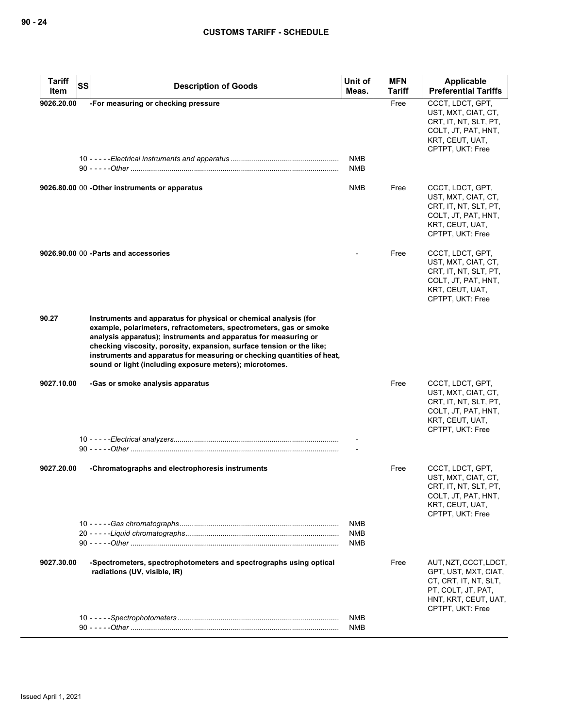| <b>Tariff</b><br>SS<br>Item | <b>Description of Goods</b>                                                                                                                                                                                                                                                                                                                                                                                              | Unit of<br>Meas.                | <b>MFN</b><br>Tariff | <b>Applicable</b><br><b>Preferential Tariffs</b>                                                                                         |
|-----------------------------|--------------------------------------------------------------------------------------------------------------------------------------------------------------------------------------------------------------------------------------------------------------------------------------------------------------------------------------------------------------------------------------------------------------------------|---------------------------------|----------------------|------------------------------------------------------------------------------------------------------------------------------------------|
| 9026.20.00                  | -For measuring or checking pressure                                                                                                                                                                                                                                                                                                                                                                                      | NMB<br><b>NMB</b>               | Free                 | CCCT, LDCT, GPT,<br>UST, MXT, CIAT, CT,<br>CRT, IT, NT, SLT, PT,<br>COLT, JT, PAT, HNT,<br>KRT, CEUT, UAT,<br>CPTPT, UKT: Free           |
|                             | 9026.80.00 00 - Other instruments or apparatus                                                                                                                                                                                                                                                                                                                                                                           | NMB                             | Free                 | CCCT, LDCT, GPT,<br>UST, MXT, CIAT, CT,<br>CRT, IT, NT, SLT, PT,<br>COLT, JT, PAT, HNT,<br>KRT, CEUT, UAT,<br>CPTPT, UKT: Free           |
|                             | 9026.90.00 00 - Parts and accessories                                                                                                                                                                                                                                                                                                                                                                                    |                                 | Free                 | CCCT, LDCT, GPT,<br>UST, MXT, CIAT, CT,<br>CRT, IT, NT, SLT, PT,<br>COLT, JT, PAT, HNT,<br>KRT, CEUT, UAT,<br>CPTPT, UKT: Free           |
| 90.27                       | Instruments and apparatus for physical or chemical analysis (for<br>example, polarimeters, refractometers, spectrometers, gas or smoke<br>analysis apparatus); instruments and apparatus for measuring or<br>checking viscosity, porosity, expansion, surface tension or the like;<br>instruments and apparatus for measuring or checking quantities of heat,<br>sound or light (including exposure meters); microtomes. |                                 |                      |                                                                                                                                          |
| 9027.10.00                  | -Gas or smoke analysis apparatus                                                                                                                                                                                                                                                                                                                                                                                         |                                 | Free                 | CCCT, LDCT, GPT,<br>UST, MXT, CIAT, CT,<br>CRT, IT, NT, SLT, PT,<br>COLT, JT, PAT, HNT,<br>KRT, CEUT, UAT,<br>CPTPT, UKT: Free           |
|                             |                                                                                                                                                                                                                                                                                                                                                                                                                          |                                 |                      |                                                                                                                                          |
| 9027.20.00                  | -Chromatographs and electrophoresis instruments                                                                                                                                                                                                                                                                                                                                                                          |                                 | Free                 | CCCT, LDCT, GPT,<br>UST, MXT, CIAT, CT,<br>CRT, IT, NT, SLT, PT,<br>COLT, JT, PAT, HNT,<br>KRT, CEUT, UAT,<br>CPTPT, UKT: Free           |
|                             |                                                                                                                                                                                                                                                                                                                                                                                                                          | <b>NMB</b><br><b>NMB</b><br>NMB |                      |                                                                                                                                          |
| 9027.30.00                  | -Spectrometers, spectrophotometers and spectrographs using optical<br>radiations (UV, visible, IR)                                                                                                                                                                                                                                                                                                                       |                                 | Free                 | AUT, NZT, CCCT, LDCT,<br>GPT, UST, MXT, CIAT,<br>CT, CRT, IT, NT, SLT,<br>PT, COLT, JT, PAT,<br>HNT, KRT, CEUT, UAT,<br>CPTPT, UKT: Free |
|                             |                                                                                                                                                                                                                                                                                                                                                                                                                          | <b>NMB</b><br><b>NMB</b>        |                      |                                                                                                                                          |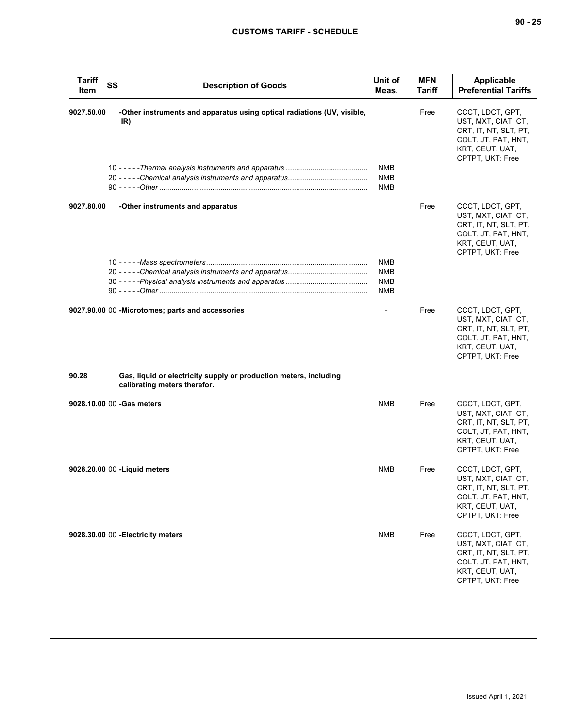| <b>Tariff</b><br>Item | <b>SS</b><br><b>Description of Goods</b>                                                          | Unit of<br>Meas.                              | <b>MFN</b><br><b>Tariff</b> | Applicable<br><b>Preferential Tariffs</b>                                                                                      |
|-----------------------|---------------------------------------------------------------------------------------------------|-----------------------------------------------|-----------------------------|--------------------------------------------------------------------------------------------------------------------------------|
| 9027.50.00            | -Other instruments and apparatus using optical radiations (UV, visible,<br>IR)                    | <b>NMB</b>                                    | Free                        | CCCT, LDCT, GPT,<br>UST, MXT, CIAT, CT,<br>CRT, IT, NT, SLT, PT,<br>COLT, JT, PAT, HNT,<br>KRT, CEUT, UAT,<br>CPTPT, UKT: Free |
|                       |                                                                                                   | <b>NMB</b><br><b>NMB</b>                      |                             |                                                                                                                                |
| 9027.80.00            | -Other instruments and apparatus                                                                  |                                               | Free                        | CCCT, LDCT, GPT,<br>UST, MXT, CIAT, CT,<br>CRT, IT, NT, SLT, PT,<br>COLT, JT, PAT, HNT,<br>KRT, CEUT, UAT,<br>CPTPT, UKT: Free |
|                       |                                                                                                   | <b>NMB</b><br><b>NMB</b><br><b>NMB</b><br>NMB |                             |                                                                                                                                |
|                       | 9027.90.00 00 - Microtomes; parts and accessories                                                 | $\overline{\phantom{0}}$                      | Free                        | CCCT, LDCT, GPT,<br>UST, MXT, CIAT, CT,<br>CRT, IT, NT, SLT, PT,<br>COLT, JT, PAT, HNT,<br>KRT, CEUT, UAT,<br>CPTPT, UKT: Free |
| 90.28                 | Gas, liquid or electricity supply or production meters, including<br>calibrating meters therefor. |                                               |                             |                                                                                                                                |
|                       | 9028.10.00 00 -Gas meters                                                                         | NMB                                           | Free                        | CCCT, LDCT, GPT,<br>UST, MXT, CIAT, CT,<br>CRT, IT, NT, SLT, PT,<br>COLT, JT, PAT, HNT,<br>KRT, CEUT, UAT,<br>CPTPT, UKT: Free |
|                       | 9028.20.00 00 - Liquid meters                                                                     | NMB                                           | Free                        | CCCT, LDCT, GPT,<br>UST, MXT, CIAT, CT,<br>CRT, IT, NT, SLT, PT,<br>COLT, JT, PAT, HNT,<br>KRT, CEUT, UAT,<br>CPTPT, UKT: Free |
|                       | 9028.30.00 00 - Electricity meters                                                                | <b>NMB</b>                                    | Free                        | CCCT, LDCT, GPT,<br>UST, MXT, CIAT, CT,<br>CRT, IT, NT, SLT, PT,<br>COLT, JT, PAT, HNT,<br>KRT, CEUT, UAT,<br>CPTPT, UKT: Free |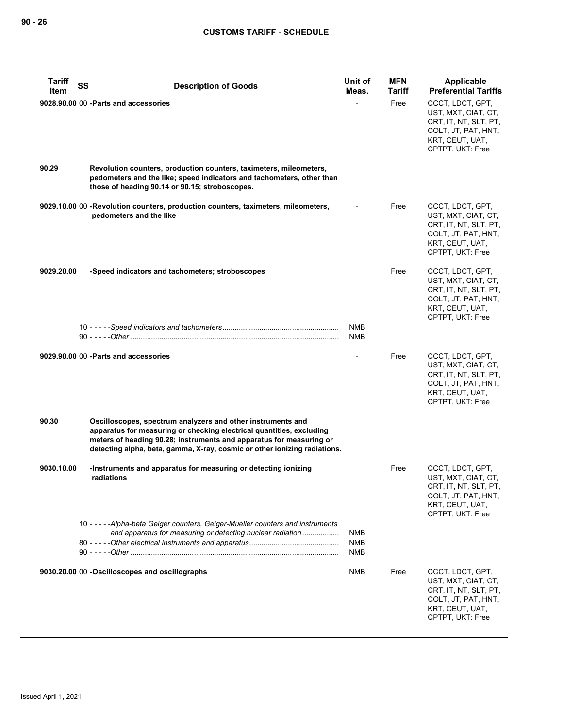| <b>Tariff</b> | <b>SS</b><br><b>Description of Goods</b>                                                                                                                                                                                                                                                | Unit of                         | <b>MFN</b> | Applicable                                                                                                                     |
|---------------|-----------------------------------------------------------------------------------------------------------------------------------------------------------------------------------------------------------------------------------------------------------------------------------------|---------------------------------|------------|--------------------------------------------------------------------------------------------------------------------------------|
| Item          |                                                                                                                                                                                                                                                                                         | Meas.                           | Tariff     | <b>Preferential Tariffs</b>                                                                                                    |
| 90.29         | 9028.90.00 00 -Parts and accessories<br>Revolution counters, production counters, taximeters, mileometers,<br>pedometers and the like; speed indicators and tachometers, other than<br>those of heading 90.14 or 90.15; stroboscopes.                                                   | $\overline{a}$                  | Free       | CCCT, LDCT, GPT,<br>UST, MXT, CIAT, CT,<br>CRT, IT, NT, SLT, PT,<br>COLT, JT, PAT, HNT,<br>KRT, CEUT, UAT,<br>CPTPT, UKT: Free |
|               |                                                                                                                                                                                                                                                                                         |                                 |            |                                                                                                                                |
|               | 9029.10.00 00 -Revolution counters, production counters, taximeters, mileometers,<br>pedometers and the like                                                                                                                                                                            |                                 | Free       | CCCT, LDCT, GPT,<br>UST, MXT, CIAT, CT,<br>CRT, IT, NT, SLT, PT,<br>COLT, JT, PAT, HNT,<br>KRT, CEUT, UAT,<br>CPTPT, UKT: Free |
| 9029.20.00    | -Speed indicators and tachometers; stroboscopes                                                                                                                                                                                                                                         |                                 | Free       | CCCT, LDCT, GPT,<br>UST, MXT, CIAT, CT,<br>CRT, IT, NT, SLT, PT,<br>COLT, JT, PAT, HNT,<br>KRT, CEUT, UAT,<br>CPTPT, UKT: Free |
|               |                                                                                                                                                                                                                                                                                         | <b>NMB</b><br><b>NMB</b>        |            |                                                                                                                                |
|               | 9029,90,00 00 - Parts and accessories                                                                                                                                                                                                                                                   |                                 | Free       | CCCT, LDCT, GPT,<br>UST, MXT, CIAT, CT,<br>CRT, IT, NT, SLT, PT,<br>COLT, JT, PAT, HNT,<br>KRT, CEUT, UAT,<br>CPTPT, UKT: Free |
| 90.30         | Oscilloscopes, spectrum analyzers and other instruments and<br>apparatus for measuring or checking electrical quantities, excluding<br>meters of heading 90.28; instruments and apparatus for measuring or<br>detecting alpha, beta, gamma, X-ray, cosmic or other ionizing radiations. |                                 |            |                                                                                                                                |
| 9030.10.00    | -Instruments and apparatus for measuring or detecting ionizing<br>radiations                                                                                                                                                                                                            |                                 | Free       | CCCT, LDCT, GPT,<br>UST, MXT, CIAT, CT,<br>CRT, IT, NT, SLT, PT,<br>COLT, JT, PAT, HNT,<br>KRT, CEUT, UAT,<br>CPTPT, UKT: Free |
|               | 10 - - - - - Alpha-beta Geiger counters, Geiger-Mueller counters and instruments<br>and apparatus for measuring or detecting nuclear radiation                                                                                                                                          | NMB<br><b>NMB</b><br><b>NMB</b> |            |                                                                                                                                |
|               | 9030.20.00 00 -Oscilloscopes and oscillographs                                                                                                                                                                                                                                          | NMB                             | Free       | CCCT, LDCT, GPT,<br>UST, MXT, CIAT, CT,<br>CRT, IT, NT, SLT, PT,<br>COLT, JT, PAT, HNT,<br>KRT, CEUT, UAT,<br>CPTPT, UKT: Free |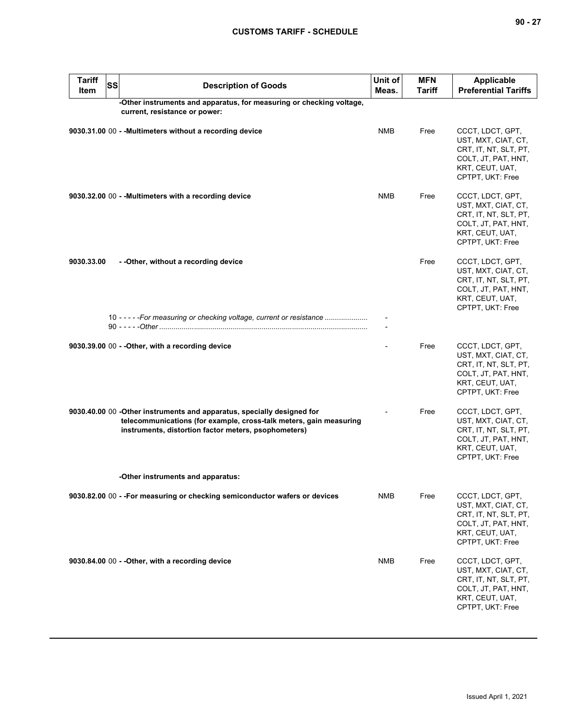| ۰.<br>I |  |  |
|---------|--|--|
|---------|--|--|

| <b>Tariff</b><br>Item | <b>SS</b> | <b>Description of Goods</b>                                                                                                                                                                           | Unit of<br>Meas. | <b>MFN</b><br>Tariff | Applicable<br><b>Preferential Tariffs</b>                                                                                      |
|-----------------------|-----------|-------------------------------------------------------------------------------------------------------------------------------------------------------------------------------------------------------|------------------|----------------------|--------------------------------------------------------------------------------------------------------------------------------|
|                       |           | -Other instruments and apparatus, for measuring or checking voltage,<br>current, resistance or power:                                                                                                 |                  |                      |                                                                                                                                |
|                       |           | 9030.31.00 00 - - Multimeters without a recording device                                                                                                                                              | <b>NMB</b>       | Free                 | CCCT, LDCT, GPT,<br>UST, MXT, CIAT, CT,<br>CRT, IT, NT, SLT, PT,<br>COLT, JT, PAT, HNT,<br>KRT, CEUT, UAT,<br>CPTPT, UKT: Free |
|                       |           | 9030.32.00 00 - - Multimeters with a recording device                                                                                                                                                 | <b>NMB</b>       | Free                 | CCCT, LDCT, GPT,<br>UST, MXT, CIAT, CT,<br>CRT, IT, NT, SLT, PT,<br>COLT, JT, PAT, HNT,<br>KRT, CEUT, UAT,<br>CPTPT, UKT: Free |
| 9030.33.00            |           | - - Other, without a recording device                                                                                                                                                                 |                  | Free                 | CCCT, LDCT, GPT,<br>UST, MXT, CIAT, CT,<br>CRT, IT, NT, SLT, PT,<br>COLT, JT, PAT, HNT,<br>KRT, CEUT, UAT,<br>CPTPT, UKT: Free |
|                       |           | 10 - - - - - For measuring or checking voltage, current or resistance                                                                                                                                 |                  |                      |                                                                                                                                |
|                       |           | 9030.39.00 00 - - Other, with a recording device                                                                                                                                                      |                  | Free                 | CCCT, LDCT, GPT,<br>UST, MXT, CIAT, CT,<br>CRT, IT, NT, SLT, PT,<br>COLT, JT, PAT, HNT,<br>KRT, CEUT, UAT,<br>CPTPT, UKT: Free |
|                       |           | 9030.40.00 00 - Other instruments and apparatus, specially designed for<br>telecommunications (for example, cross-talk meters, gain measuring<br>instruments, distortion factor meters, psophometers) |                  | Free                 | CCCT, LDCT, GPT,<br>UST, MXT, CIAT, CT,<br>CRT, IT, NT, SLT, PT,<br>COLT, JT, PAT, HNT,<br>KRT, CEUT, UAT,<br>CPTPT, UKT: Free |
|                       |           | -Other instruments and apparatus:                                                                                                                                                                     |                  |                      |                                                                                                                                |
|                       |           | 9030.82.00 00 - - For measuring or checking semiconductor wafers or devices                                                                                                                           | <b>NMB</b>       | Free                 | CCCT, LDCT, GPT,<br>UST, MXT, CIAT, CT,<br>CRT, IT, NT, SLT, PT,<br>COLT, JT, PAT, HNT,<br>KRT, CEUT, UAT,<br>CPTPT, UKT: Free |
|                       |           | 9030.84.00 00 - - Other, with a recording device                                                                                                                                                      | <b>NMB</b>       | Free                 | CCCT, LDCT, GPT,<br>UST, MXT, CIAT, CT,<br>CRT, IT, NT, SLT, PT,<br>COLT, JT, PAT, HNT,<br>KRT, CEUT, UAT,<br>CPTPT, UKT: Free |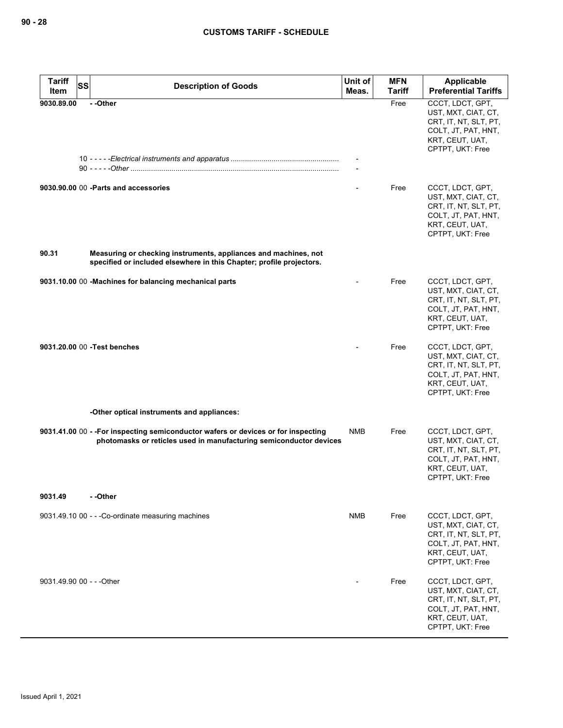| Tariff<br>Item | <b>SS</b><br><b>Description of Goods</b>                                                                                                                 | Unit of<br>Meas. | <b>MFN</b><br><b>Tariff</b> | Applicable<br><b>Preferential Tariffs</b>                                                                                      |
|----------------|----------------------------------------------------------------------------------------------------------------------------------------------------------|------------------|-----------------------------|--------------------------------------------------------------------------------------------------------------------------------|
| 9030.89.00     | --Other                                                                                                                                                  |                  | Free                        | CCCT, LDCT, GPT,<br>UST, MXT, CIAT, CT,<br>CRT, IT, NT, SLT, PT,<br>COLT, JT, PAT, HNT,<br>KRT, CEUT, UAT,<br>CPTPT, UKT: Free |
|                |                                                                                                                                                          | $\blacksquare$   |                             |                                                                                                                                |
|                | 9030.90.00 00 - Parts and accessories                                                                                                                    |                  | Free                        | CCCT, LDCT, GPT,<br>UST, MXT, CIAT, CT,<br>CRT, IT, NT, SLT, PT,<br>COLT, JT, PAT, HNT,<br>KRT, CEUT, UAT,<br>CPTPT, UKT: Free |
| 90.31          | Measuring or checking instruments, appliances and machines, not<br>specified or included elsewhere in this Chapter; profile projectors.                  |                  |                             |                                                                                                                                |
|                | 9031.10.00 00 -Machines for balancing mechanical parts                                                                                                   |                  | Free                        | CCCT, LDCT, GPT,<br>UST, MXT, CIAT, CT,<br>CRT, IT, NT, SLT, PT,<br>COLT, JT, PAT, HNT,<br>KRT, CEUT, UAT,<br>CPTPT, UKT: Free |
|                | 9031.20.00 00 - Test benches                                                                                                                             |                  | Free                        | CCCT, LDCT, GPT,<br>UST, MXT, CIAT, CT,<br>CRT, IT, NT, SLT, PT,<br>COLT, JT, PAT, HNT,<br>KRT, CEUT, UAT,<br>CPTPT, UKT: Free |
|                | -Other optical instruments and appliances:                                                                                                               |                  |                             |                                                                                                                                |
|                | 9031.41.00 00 - - For inspecting semiconductor wafers or devices or for inspecting<br>photomasks or reticles used in manufacturing semiconductor devices | <b>NMB</b>       | Free                        | CCCT, LDCT, GPT,<br>UST, MXT, CIAT, CT,<br>CRT, IT, NT, SLT, PT,<br>COLT, JT, PAT, HNT,<br>KRT, CEUT, UAT,<br>CPTPT, UKT: Free |
| 9031.49        | - -Other                                                                                                                                                 |                  |                             |                                                                                                                                |
|                | 9031.49.10 00 - - - Co-ordinate measuring machines                                                                                                       | <b>NMB</b>       | Free                        | CCCT, LDCT, GPT,<br>UST, MXT, CIAT, CT,<br>CRT, IT, NT, SLT, PT,<br>COLT, JT, PAT, HNT,<br>KRT, CEUT, UAT,<br>CPTPT, UKT: Free |
|                | 9031.49.90 00 - - - Other                                                                                                                                |                  | Free                        | CCCT, LDCT, GPT,<br>UST, MXT, CIAT, CT,<br>CRT, IT, NT, SLT, PT,<br>COLT, JT, PAT, HNT,<br>KRT, CEUT, UAT,<br>CPTPT, UKT: Free |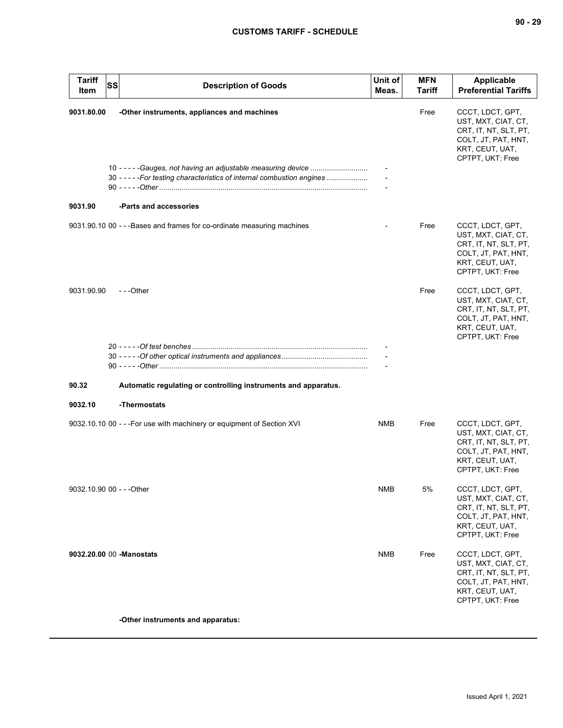| <b>Tariff</b><br>Item     | SS | <b>Description of Goods</b>                                                                                            | Unit of<br>Meas. | <b>MFN</b><br><b>Tariff</b> | Applicable<br><b>Preferential Tariffs</b>                                                                                      |
|---------------------------|----|------------------------------------------------------------------------------------------------------------------------|------------------|-----------------------------|--------------------------------------------------------------------------------------------------------------------------------|
| 9031.80.00                |    | -Other instruments, appliances and machines<br>30 - - - - - For testing characteristics of internal combustion engines |                  | Free                        | CCCT, LDCT, GPT,<br>UST, MXT, CIAT, CT,<br>CRT, IT, NT, SLT, PT,<br>COLT, JT, PAT, HNT,<br>KRT, CEUT, UAT,<br>CPTPT, UKT: Free |
| 9031.90                   |    | -Parts and accessories                                                                                                 |                  |                             |                                                                                                                                |
|                           |    | 9031.90.10 00 - - - Bases and frames for co-ordinate measuring machines                                                |                  | Free                        | CCCT, LDCT, GPT,<br>UST, MXT, CIAT, CT,<br>CRT, IT, NT, SLT, PT,<br>COLT, JT, PAT, HNT,<br>KRT, CEUT, UAT,<br>CPTPT, UKT: Free |
| 9031.90.90                |    | ---Other                                                                                                               |                  | Free                        | CCCT, LDCT, GPT,<br>UST, MXT, CIAT, CT,<br>CRT, IT, NT, SLT, PT,<br>COLT, JT, PAT, HNT,<br>KRT, CEUT, UAT,<br>CPTPT, UKT: Free |
|                           |    |                                                                                                                        |                  |                             |                                                                                                                                |
| 90.32                     |    | Automatic regulating or controlling instruments and apparatus.                                                         |                  |                             |                                                                                                                                |
| 9032.10                   |    | -Thermostats                                                                                                           |                  |                             |                                                                                                                                |
|                           |    | 9032.10.10 00 - - - For use with machinery or equipment of Section XVI                                                 | <b>NMB</b>       | Free                        | CCCT, LDCT, GPT,<br>UST, MXT, CIAT, CT,<br>CRT, IT, NT, SLT, PT,<br>COLT, JT, PAT, HNT,<br>KRT, CEUT, UAT,<br>CPTPT, UKT: Free |
| 9032.10.90 00 - - - Other |    |                                                                                                                        | <b>NMB</b>       | 5%                          | CCCT, LDCT, GPT,<br>UST, MXT, CIAT, CT,<br>CRT, IT, NT, SLT, PT,<br>COLT, JT, PAT, HNT,<br>KRT, CEUT, UAT,<br>CPTPT, UKT: Free |
|                           |    | 9032.20.00 00 - Manostats                                                                                              | <b>NMB</b>       | Free                        | CCCT, LDCT, GPT,<br>UST, MXT, CIAT, CT,<br>CRT, IT, NT, SLT, PT,<br>COLT, JT, PAT, HNT,<br>KRT, CEUT, UAT,<br>CPTPT, UKT: Free |
|                           |    | -Other instruments and apparatus:                                                                                      |                  |                             |                                                                                                                                |